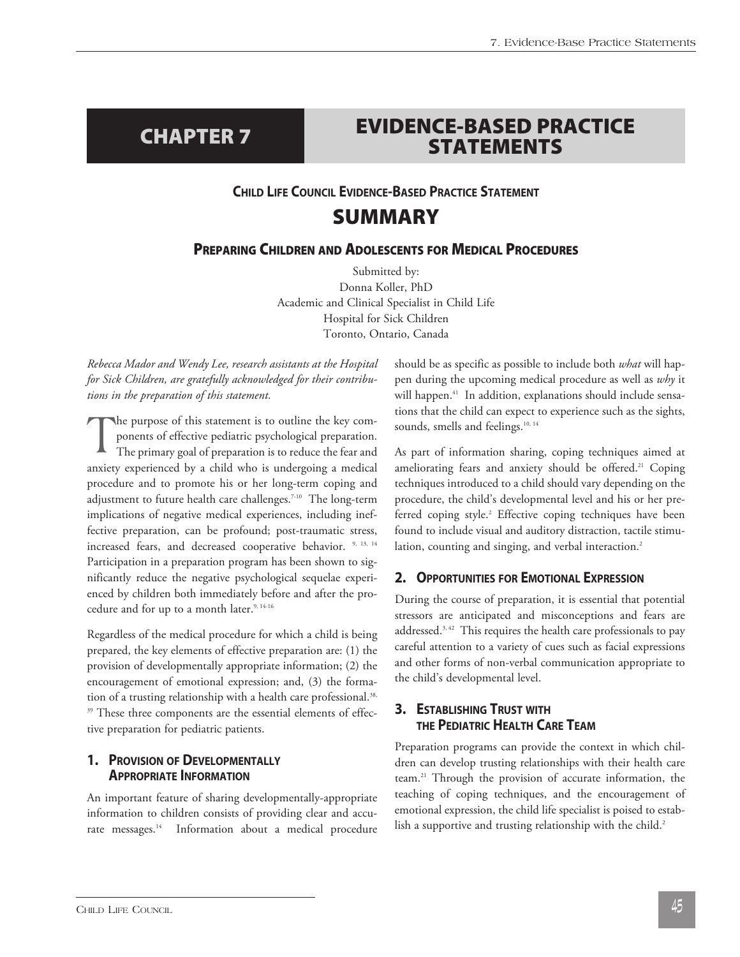# **EVIDENCE-BASED PRACTICE STATEMENTS CHAPTER 7**

### **CHILD LIFE COUNCIL EVIDENCE-BASED PRACTICE STATEMENT**

# **SUMMARY**

### **PREPARING CHILDREN AND ADOLESCENTS FOR MEDICAL PROCEDURES**

Submitted by: Donna Koller, PhD Academic and Clinical Specialist in Child Life Hospital for Sick Children Toronto, Ontario, Canada

*Rebecca Mador and Wendy Lee, research assistants at the Hospital for Sick Children, are gratefully acknowledged for their contributions in the preparation of this statement.* 

The purpose of this statement is to outline the key components of effective pediatric psychological preparation.<br>The primary goal of preparation is to reduce the fear and ponents of effective pediatric psychological preparation. anxiety experienced by a child who is undergoing a medical procedure and to promote his or her long-term coping and adjustment to future health care challenges.<sup>7-10</sup> The long-term implications of negative medical experiences, including ineffective preparation, can be profound; post-traumatic stress, increased fears, and decreased cooperative behavior. <sup>9, 13, 14</sup> Participation in a preparation program has been shown to significantly reduce the negative psychological sequelae experienced by children both immediately before and after the procedure and for up to a month later.<sup>9, 14-16</sup>

Regardless of the medical procedure for which a child is being prepared, the key elements of effective preparation are: (1) the provision of developmentally appropriate information; (2) the encouragement of emotional expression; and, (3) the formation of a trusting relationship with a health care professional.<sup>38,</sup> <sup>39</sup> These three components are the essential elements of effective preparation for pediatric patients.

### **1. PROVISION OF DEVELOPMENTALLY APPROPRIATE INFORMATION**

An important feature of sharing developmentally-appropriate information to children consists of providing clear and accurate messages.<sup>14</sup> Information about a medical procedure should be as specific as possible to include both *what* will happen during the upcoming medical procedure as well as *why* it will happen.<sup>41</sup> In addition, explanations should include sensations that the child can expect to experience such as the sights, sounds, smells and feelings.<sup>10, 14</sup>

As part of information sharing, coping techniques aimed at ameliorating fears and anxiety should be offered.<sup>21</sup> Coping techniques introduced to a child should vary depending on the procedure, the child's developmental level and his or her preferred coping style.<sup>2</sup> Effective coping techniques have been found to include visual and auditory distraction, tactile stimulation, counting and singing, and verbal interaction.<sup>2</sup>

### **2. OPPORTUNITIES FOR EMOTIONAL EXPRESSION**

During the course of preparation, it is essential that potential stressors are anticipated and misconceptions and fears are addressed.<sup>3, 42</sup> This requires the health care professionals to pay careful attention to a variety of cues such as facial expressions and other forms of non-verbal communication appropriate to the child's developmental level.

### **3. ESTABLISHING TRUST WITH THE PEDIATRIC HEALTH CARE TEAM**

Preparation programs can provide the context in which children can develop trusting relationships with their health care team.21 Through the provision of accurate information, the teaching of coping techniques, and the encouragement of emotional expression, the child life specialist is poised to establish a supportive and trusting relationship with the child.<sup>2</sup>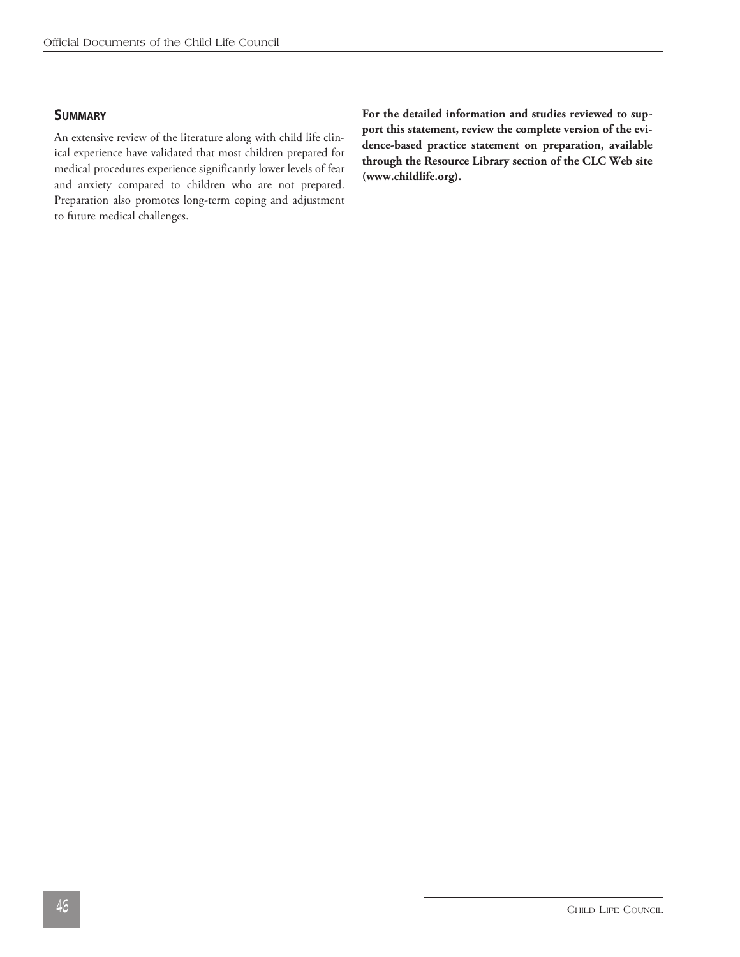### **SUMMARY**

An extensive review of the literature along with child life clinical experience have validated that most children prepared for medical procedures experience significantly lower levels of fear and anxiety compared to children who are not prepared. Preparation also promotes long-term coping and adjustment to future medical challenges.

**For the detailed information and studies reviewed to support this statement, review the complete version of the evidence-based practice statement on preparation, available through the Resource Library section of the CLC Web site (www.childlife.org).**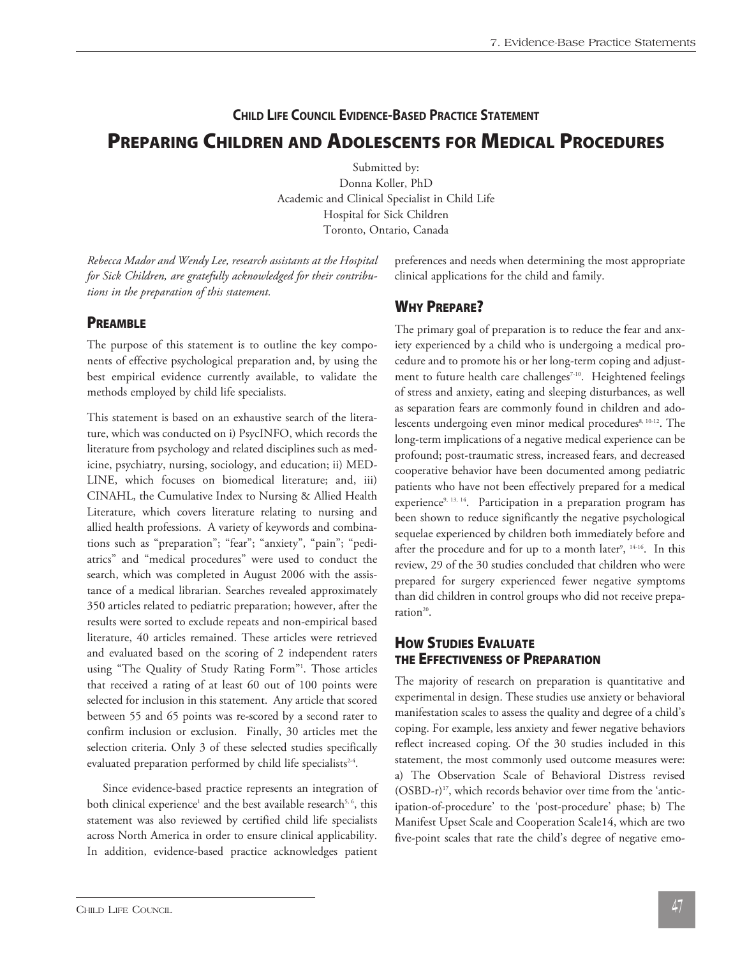# **CHILD LIFE COUNCIL EVIDENCE-BASED PRACTICE STATEMENT PREPARING CHILDREN AND ADOLESCENTS FOR MEDICAL PROCEDURES**

Submitted by: Donna Koller, PhD Academic and Clinical Specialist in Child Life Hospital for Sick Children Toronto, Ontario, Canada

*Rebecca Mador and Wendy Lee, research assistants at the Hospital for Sick Children, are gratefully acknowledged for their contributions in the preparation of this statement.* 

### **PREAMBLE**

The purpose of this statement is to outline the key components of effective psychological preparation and, by using the best empirical evidence currently available, to validate the methods employed by child life specialists.

This statement is based on an exhaustive search of the literature, which was conducted on i) PsycINFO, which records the literature from psychology and related disciplines such as medicine, psychiatry, nursing, sociology, and education; ii) MED-LINE, which focuses on biomedical literature; and, iii) CINAHL, the Cumulative Index to Nursing & Allied Health Literature, which covers literature relating to nursing and allied health professions. A variety of keywords and combinations such as "preparation"; "fear"; "anxiety", "pain"; "pediatrics" and "medical procedures" were used to conduct the search, which was completed in August 2006 with the assistance of a medical librarian. Searches revealed approximately 350 articles related to pediatric preparation; however, after the results were sorted to exclude repeats and non-empirical based literature, 40 articles remained. These articles were retrieved and evaluated based on the scoring of 2 independent raters using "The Quality of Study Rating Form"1 . Those articles that received a rating of at least 60 out of 100 points were selected for inclusion in this statement. Any article that scored between 55 and 65 points was re-scored by a second rater to confirm inclusion or exclusion. Finally, 30 articles met the selection criteria. Only 3 of these selected studies specifically evaluated preparation performed by child life specialists<sup>2-4</sup>.

 Since evidence-based practice represents an integration of both clinical experience<sup>1</sup> and the best available research<sup>5, 6</sup>, this statement was also reviewed by certified child life specialists across North America in order to ensure clinical applicability. In addition, evidence-based practice acknowledges patient

preferences and needs when determining the most appropriate clinical applications for the child and family.

### **WHY PREPARE?**

The primary goal of preparation is to reduce the fear and anxiety experienced by a child who is undergoing a medical procedure and to promote his or her long-term coping and adjustment to future health care challenges<sup>7-10</sup>. Heightened feelings of stress and anxiety, eating and sleeping disturbances, as well as separation fears are commonly found in children and adolescents undergoing even minor medical procedures<sup>8, 10-12</sup>. The long-term implications of a negative medical experience can be profound; post-traumatic stress, increased fears, and decreased cooperative behavior have been documented among pediatric patients who have not been effectively prepared for a medical experience<sup>9, 13, 14</sup>. Participation in a preparation program has been shown to reduce significantly the negative psychological sequelae experienced by children both immediately before and after the procedure and for up to a month later $^{\circ}$ ,  $^{\frac{14-16}{}}$ . In this review, 29 of the 30 studies concluded that children who were prepared for surgery experienced fewer negative symptoms than did children in control groups who did not receive preparation<sup>20</sup>.

### **HOW STUDIES EVALUATE THE EFFECTIVENESS OF PREPARATION**

The majority of research on preparation is quantitative and experimental in design. These studies use anxiety or behavioral manifestation scales to assess the quality and degree of a child's coping. For example, less anxiety and fewer negative behaviors reflect increased coping. Of the 30 studies included in this statement, the most commonly used outcome measures were: a) The Observation Scale of Behavioral Distress revised  $(OSBD-r)^{17}$ , which records behavior over time from the 'anticipation-of-procedure' to the 'post-procedure' phase; b) The Manifest Upset Scale and Cooperation Scale14, which are two five-point scales that rate the child's degree of negative emo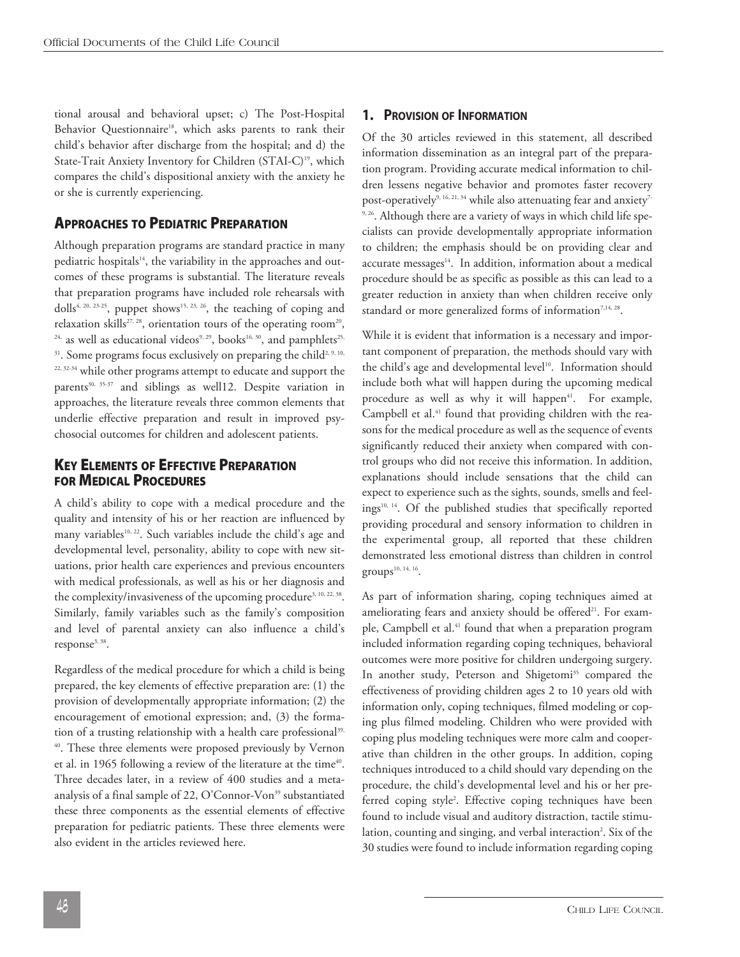tional arousal and behavioral upset; c) The Post-Hospital Behavior Questionnaire<sup>18</sup>, which asks parents to rank their child's behavior after discharge from the hospital; and d) the State-Trait Anxiety Inventory for Children (STAI-C) 19 , which compares the child's dispositional anxiety with the anxiety he or she is currently experiencing.

### **APPROACHES TO PEDIATRIC PREPARATION**

Although preparation programs are standard practice in many pediatric hospitals<sup>14</sup>, the variability in the approaches and outcomes of these programs is substantial. The literature reveals that preparation programs have included role rehearsals with dolls<sup>4, 20, 23-25</sup>, puppet shows<sup>15, 23, 26</sup>, the teaching of coping and relaxation skills $^{27,28}$ , orientation tours of the operating room $^{20}$ ,  $^{24,}$  as well as educational videos $^{9,29},$  books $^{16,30},$  and pamphlets $^{25,}$  $31.$  Some programs focus exclusively on preparing the child $2,9,10$ , 22, 32-34 while other programs attempt to educate and support the parents 30, 35-37 and siblings as well12. Despite variation in approaches, the literature reveals three common elements that underlie effective preparation and result in improved psychosocial outcomes for children and adolescent patients.

### **KEY ELEMENTS OF EFFECTIVE PREPARATION FOR MEDICAL PROCEDURES**

A child's ability to cope with a medical procedure and the quality and intensity of his or her reaction are influenced by many variables 10, 22 . Such variables include the child's age and developmental level, personality, ability to cope with new situations, prior health care experiences and previous encounters with medical professionals, as well as his or her diagnosis and the complexity/invasiveness of the upcoming procedure<sup>3, 10, 22, 38</sup>. Similarly, family variables such as the family's composition and level of parental anxiety can also influence a child's response<sup>3, 38</sup>.

Regardless of the medical procedure for which a child is being prepared, the key elements of effective preparation are: (1) the provision of developmentally appropriate information; (2) the encouragement of emotional expression; and, (3) the formation of a trusting relationship with a health care professional 39, 40 . These three elements were proposed previously by Vernon et al. in 1965 following a review of the literature at the time<sup>40</sup>. Three decades later, in a review of 400 studies and a metaanalysis of a final sample of 22, O'Connor-Von<sup>39</sup> substantiated these three components as the essential elements of effective preparation for pediatric patients. These three elements were also evident in the articles reviewed here.

#### **1. PROVISION OF INFORMATION**

Of the 30 articles reviewed in this statement, all described information dissemination as an integral part of the preparation program. Providing accurate medical information to children lessens negative behavior and promotes faster recovery post-operatively<sup>9, 16, 21, 34</sup> while also attenuating fear and anxiety<sup>7-</sup> <sup>9, 26</sup>. Although there are a variety of ways in which child life specialists can provide developmentally appropriate information to children; the emphasis should be on providing clear and accurate messages 14 . In addition, information about a medical procedure should be as specific as possible as this can lead to a greater reduction in anxiety than when children receive only standard or more generalized forms of information<sup>7,14, 28</sup>.

While it is evident that information is a necessary and important component of preparation, the methods should vary with the child's age and developmental level 10 . Information should include both what will happen during the upcoming medical procedure as well as why it will happen<sup>41</sup>. For example, Campbell et al. <sup>41</sup> found that providing children with the reasons for the medical procedure as well as the sequence of events significantly reduced their anxiety when compared with control groups who did not receive this information. In addition, explanations should include sensations that the child can expect to experience such as the sights, sounds, smells and feelings 10, 14 . Of the published studies that specifically reported providing procedural and sensory information to children in the experimental group, all reported that these children demonstrated less emotional distress than children in control groups $^{\scriptscriptstyle 10,\,14,\,16}.$ 

As part of information sharing, coping techniques aimed at ameliorating fears and anxiety should be offered<sup>21</sup>. For example, Campbell et al. <sup>41</sup> found that when a preparation program included information regarding coping techniques, behavioral outcomes were more positive for children undergoing surgery. In another study, Peterson and Shigetomi <sup>35</sup> compared the effectiveness of providing children ages 2 to 10 years old with information only, coping techniques, filmed modeling or coping plus filmed modeling. Children who were provided with coping plus modeling techniques were more calm and cooperative than children in the other groups. In addition, coping techniques introduced to a child should vary depending on the procedure, the child's developmental level and his or her preferred coping style<sup>2</sup>. Effective coping techniques have been found to include visual and auditory distraction, tactile stimulation, counting and singing, and verbal interaction<sup>2</sup>. Six of the 30 studies were found to include information regarding coping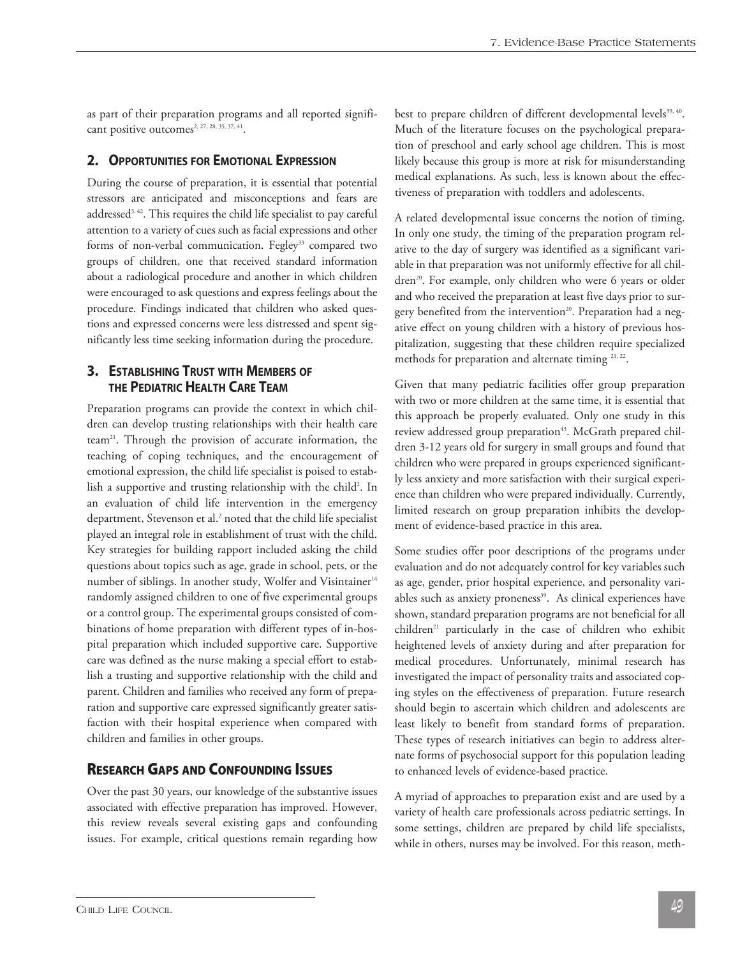as part of their preparation programs and all reported significant positive outcomes<sup>2, 27, 28, 35, 37, 41</sup>.

#### **2. OPPORTUNITIES FOR EMOTIONAL EXPRESSION**

During the course of preparation, it is essential that potential stressors are anticipated and misconceptions and fears are addressed $^{3,\,42}.$  This requires the child life specialist to pay careful attention to a variety of cues such as facial expressions and other forms of non-verbal communication. Fegley<sup>33</sup> compared two groups of children, one that received standard information about a radiological procedure and another in which children were encouraged to ask questions and express feelings about the procedure. Findings indicated that children who asked questions and expressed concerns were less distressed and spent significantly less time seeking information during the procedure.

### **3. ESTABLISHING TRUST WITH MEMBERS OF THE PEDIATRIC HEALTH CARE TEAM**

Preparation programs can provide the context in which children can develop trusting relationships with their health care team<sup>21</sup>. Through the provision of accurate information, the teaching of coping techniques, and the encouragement of emotional expression, the child life specialist is poised to establish a supportive and trusting relationship with the child<sup>2</sup>. In an evaluation of child life intervention in the emergency department, Stevenson et al. <sup>2</sup> noted that the child life specialist played an integral role in establishment of trust with the child. Key strategies for building rapport included asking the child questions about topics such as age, grade in school, pets, or the number of siblings. In another study, Wolfer and Visintainer<sup>14</sup> randomly assigned children to one of five experimental groups or a control group. The experimental groups consisted of combinations of home preparation with different types of in-hospital preparation which included supportive care. Supportive care was defined as the nurse making a special effort to establish a trusting and supportive relationship with the child and parent. Children and families who received any form of preparation and supportive care expressed significantly greater satisfaction with their hospital experience when compared with children and families in other groups.

### **RESEARCH GAPS AND CONFOUNDING ISSUES**

Over the past 30 years, our knowledge of the substantive issues associated with effective preparation has improved. However, this review reveals several existing gaps and confounding issues. For example, critical questions remain regarding how

best to prepare children of different developmental levels 39, 40 . Much of the literature focuses on the psychological preparation of preschool and early school age children. This is most likely because this group is more at risk for misunderstanding medical explanations. As such, less is known about the effectiveness of preparation with toddlers and adolescents.

A related developmental issue concerns the notion of timing. In only one study, the timing of the preparation program relative to the day of surgery was identified as a significant variable in that preparation was not uniformly effective for all children<sup>20</sup>. For example, only children who were 6 years or older and who received the preparation at least five days prior to surgery benefited from the intervention<sup>20</sup>. Preparation had a negative effect on young children with a history of previous hospitalization, suggesting that these children require specialized methods for preparation and alternate timing  $21, 22$ .

Given that many pediatric facilities offer group preparation with two or more children at the same time, it is essential that this approach be properly evaluated. Only one study in this review addressed group preparation<sup>43</sup>. McGrath prepared children 3-12 years old for surgery in small groups and found that children who were prepared in groups experienced significantly less anxiety and more satisfaction with their surgical experience than children who were prepared individually. Currently, limited research on group preparation inhibits the development of evidence-based practice in this area.

Some studies offer poor descriptions of the programs under evaluation and do not adequately control for key variables such as age, gender, prior hospital experience, and personality variables such as anxiety proneness 39 . As clinical experiences have shown, standard preparation programs are not beneficial for all children<sup>21</sup> particularly in the case of children who exhibit heightened levels of anxiety during and after preparation for medical procedures. Unfortunately, minimal research has investigated the impact of personality traits and associated coping styles on the effectiveness of preparation. Future research should begin to ascertain which children and adolescents are least likely to benefit from standard forms of preparation. These types of research initiatives can begin to address alternate forms of psychosocial support for this population leading to enhanced levels of evidence-based practice.

A myriad of approaches to preparation exist and are used by a variety of health care professionals across pediatric settings. In some settings, children are prepared by child life specialists, while in others, nurses may be involved. For this reason, meth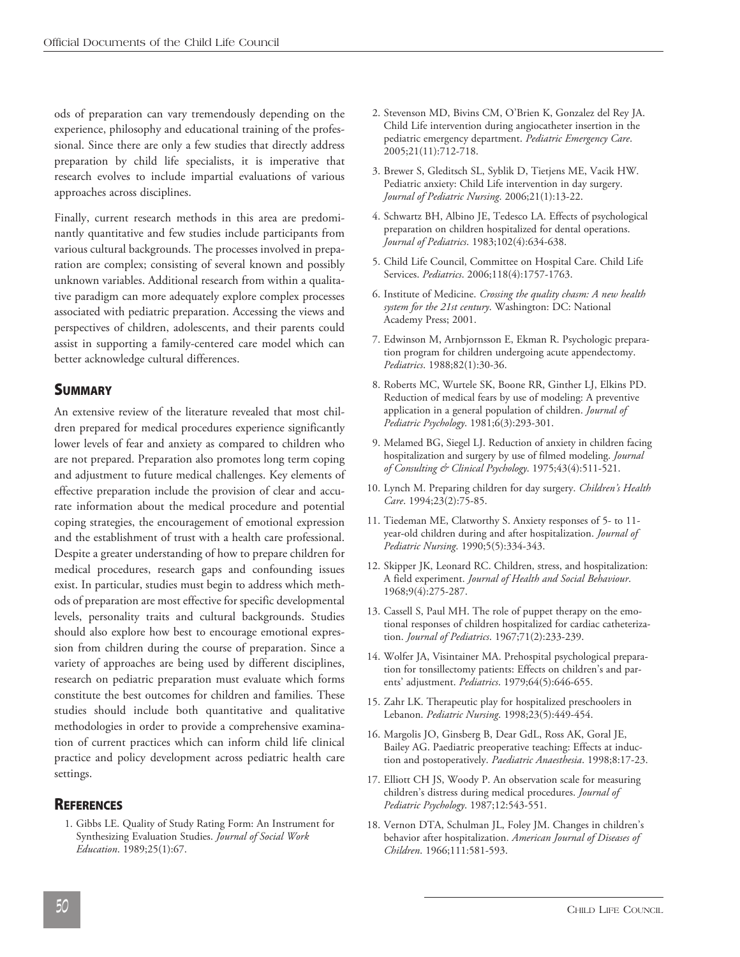ods of preparation can vary tremendously depending on the experience, philosophy and educational training of the professional. Since there are only a few studies that directly address preparation by child life specialists, it is imperative that research evolves to include impartial evaluations of various approaches across disciplines.

Finally, current research methods in this area are predominantly quantitative and few studies include participants from various cultural backgrounds. The processes involved in preparation are complex; consisting of several known and possibly unknown variables. Additional research from within a qualitative paradigm can more adequately explore complex processes associated with pediatric preparation. Accessing the views and perspectives of children, adolescents, and their parents could assist in supporting a family-centered care model which can better acknowledge cultural differences.

### **SUMMARY**

An extensive review of the literature revealed that most children prepared for medical procedures experience significantly lower levels of fear and anxiety as compared to children who are not prepared. Preparation also promotes long term coping and adjustment to future medical challenges. Key elements of effective preparation include the provision of clear and accurate information about the medical procedure and potential coping strategies, the encouragement of emotional expression and the establishment of trust with a health care professional. Despite a greater understanding of how to prepare children for medical procedures, research gaps and confounding issues exist. In particular, studies must begin to address which methods of preparation are most effective for specific developmental levels, personality traits and cultural backgrounds. Studies should also explore how best to encourage emotional expression from children during the course of preparation. Since a variety of approaches are being used by different disciplines, research on pediatric preparation must evaluate which forms constitute the best outcomes for children and families. These studies should include both quantitative and qualitative methodologies in order to provide a comprehensive examination of current practices which can inform child life clinical practice and policy development across pediatric health care settings.

#### **REFERENCES**

1. Gibbs LE. Quality of Study Rating Form: An Instrument for Synthesizing Evaluation Studies. *Journal of Social Work Education*. 1989;25(1):67.

- 2. Stevenson MD, Bivins CM, O'Brien K, Gonzalez del Rey JA. Child Life intervention during angiocatheter insertion in the pediatric emergency department. *Pediatric Emergency Care*. 2005;21(11):712-718.
- 3. Brewer S, Gleditsch SL, Syblik D, Tietjens ME, Vacik HW. Pediatric anxiety: Child Life intervention in day surgery. *Journal of Pediatric Nursing*. 2006;21(1):13-22.
- 4. Schwartz BH, Albino JE, Tedesco LA. Effects of psychological preparation on children hospitalized for dental operations. *Journal of Pediatrics*. 1983;102(4):634-638.
- 5. Child Life Council, Committee on Hospital Care. Child Life Services. *Pediatrics*. 2006;118(4):1757-1763.
- 6. Institute of Medicine. *Crossing the quality chasm: A new health system for the 21st century*. Washington: DC: National Academy Press; 2001.
- 7. Edwinson M, Arnbjornsson E, Ekman R. Psychologic preparation program for children undergoing acute appendectomy. *Pediatrics*. 1988;82(1):30-36.
- 8. Roberts MC, Wurtele SK, Boone RR, Ginther LJ, Elkins PD. Reduction of medical fears by use of modeling: A preventive application in a general population of children. *Journal of Pediatric Psychology*. 1981;6(3):293-301.
- 9. Melamed BG, Siegel LJ. Reduction of anxiety in children facing hospitalization and surgery by use of filmed modeling. *Journal of Consulting & Clinical Psychology*. 1975;43(4):511-521.
- 10. Lynch M. Preparing children for day surgery. *Children's Health Care*. 1994;23(2):75-85.
- 11. Tiedeman ME, Clatworthy S. Anxiety responses of 5- to 11 year-old children during and after hospitalization. *Journal of Pediatric Nursing*. 1990;5(5):334-343.
- 12. Skipper JK, Leonard RC. Children, stress, and hospitalization: A field experiment. *Journal of Health and Social Behaviour*. 1968;9(4):275-287.
- 13. Cassell S, Paul MH. The role of puppet therapy on the emotional responses of children hospitalized for cardiac catheterization. *Journal of Pediatrics*. 1967;71(2):233-239.
- 14. Wolfer JA, Visintainer MA. Prehospital psychological preparation for tonsillectomy patients: Effects on children's and parents' adjustment. *Pediatrics*. 1979;64(5):646-655.
- 15. Zahr LK. Therapeutic play for hospitalized preschoolers in Lebanon. *Pediatric Nursing*. 1998;23(5):449-454.
- 16. Margolis JO, Ginsberg B, Dear GdL, Ross AK, Goral JE, Bailey AG. Paediatric preoperative teaching: Effects at induction and postoperatively. *Paediatric Anaesthesia*. 1998;8:17-23.
- 17. Elliott CH JS, Woody P. An observation scale for measuring children's distress during medical procedures. *Journal of Pediatric Psychology*. 1987;12:543-551.
- 18. Vernon DTA, Schulman JL, Foley JM. Changes in children's behavior after hospitalization. *American Journal of Diseases of Children*. 1966;111:581-593.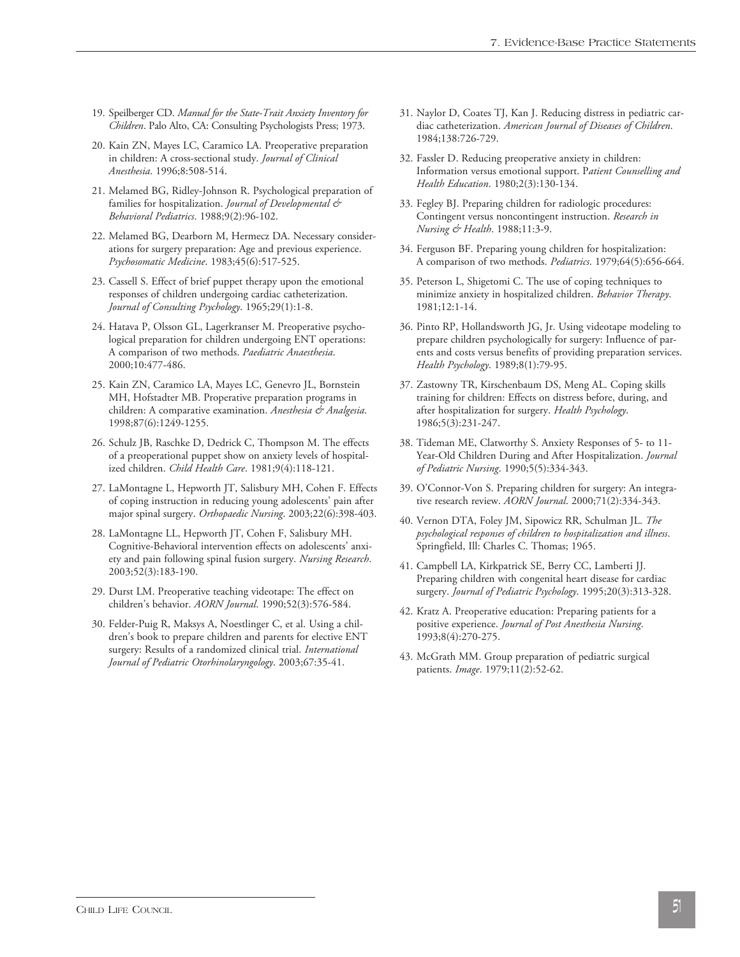- 19. Speilberger CD. *Manual for the State-Trait Anxiety Inventory for Children*. Palo Alto, CA: Consulting Psychologists Press; 1973.
- 20. Kain ZN, Mayes LC, Caramico LA. Preoperative preparation in children: A cross-sectional study. *Journal of Clinical Anesthesia*. 1996;8:508-514.
- 21. Melamed BG, Ridley-Johnson R. Psychological preparation of families for hospitalization. *Journal of Developmental & Behavioral Pediatrics*. 1988;9(2):96-102.
- 22. Melamed BG, Dearborn M, Hermecz DA. Necessary considerations for surgery preparation: Age and previous experience. *Psychosomatic Medicine*. 1983;45(6):517-525.
- 23. Cassell S. Effect of brief puppet therapy upon the emotional responses of children undergoing cardiac catheterization. *Journal of Consulting Psychology*. 1965;29(1):1-8.
- 24. Hatava P, Olsson GL, Lagerkranser M. Preoperative psychological preparation for children undergoing ENT operations: A comparison of two methods. *Paediatric Anaesthesia*. 2000;10:477-486.
- 25. Kain ZN, Caramico LA, Mayes LC, Genevro JL, Bornstein MH, Hofstadter MB. Properative preparation programs in children: A comparative examination. *Anesthesia & Analgesia*. 1998;87(6):1249-1255.
- 26. Schulz JB, Raschke D, Dedrick C, Thompson M. The effects of a preoperational puppet show on anxiety levels of hospitalized children. *Child Health Care*. 1981;9(4):118-121.
- 27. LaMontagne L, Hepworth JT, Salisbury MH, Cohen F. Effects of coping instruction in reducing young adolescents' pain after major spinal surgery. *Orthopaedic Nursing*. 2003;22(6):398-403.
- 28. LaMontagne LL, Hepworth JT, Cohen F, Salisbury MH. Cognitive-Behavioral intervention effects on adolescents' anxiety and pain following spinal fusion surgery. *Nursing Research*. 2003;52(3):183-190.
- 29. Durst LM. Preoperative teaching videotape: The effect on children's behavior. *AORN Journal*. 1990;52(3):576-584.
- 30. Felder-Puig R, Maksys A, Noestlinger C, et al. Using a children's book to prepare children and parents for elective ENT surgery: Results of a randomized clinical trial. *International Journal of Pediatric Otorhinolaryngology*. 2003;67:35-41.
- 31. Naylor D, Coates TJ, Kan J. Reducing distress in pediatric cardiac catheterization. *American Journal of Diseases of Children*. 1984;138:726-729.
- 32. Fassler D. Reducing preoperative anxiety in children: Information versus emotional support. P*atient Counselling and Health Education*. 1980;2(3):130-134.
- 33. Fegley BJ. Preparing children for radiologic procedures: Contingent versus noncontingent instruction. *Research in Nursing & Health*. 1988;11:3-9.
- 34. Ferguson BF. Preparing young children for hospitalization: A comparison of two methods. *Pediatrics*. 1979;64(5):656-664.
- 35. Peterson L, Shigetomi C. The use of coping techniques to minimize anxiety in hospitalized children. *Behavior Therapy*. 1981;12:1-14.
- 36. Pinto RP, Hollandsworth JG, Jr. Using videotape modeling to prepare children psychologically for surgery: Influence of parents and costs versus benefits of providing preparation services. *Health Psychology*. 1989;8(1):79-95.
- 37. Zastowny TR, Kirschenbaum DS, Meng AL. Coping skills training for children: Effects on distress before, during, and after hospitalization for surgery. *Health Psychology*. 1986;5(3):231-247.
- 38. Tideman ME, Clatworthy S. Anxiety Responses of 5- to 11- Year-Old Children During and After Hospitalization. *Journal of Pediatric Nursing*. 1990;5(5):334-343.
- 39. O'Connor-Von S. Preparing children for surgery: An integrative research review. *AORN Journal*. 2000;71(2):334-343.
- 40. Vernon DTA, Foley JM, Sipowicz RR, Schulman JL. *The psychological responses of children to hospitalization and illness*. Springfield, Ill: Charles C. Thomas; 1965.
- 41. Campbell LA, Kirkpatrick SE, Berry CC, Lamberti JJ. Preparing children with congenital heart disease for cardiac surgery. *Journal of Pediatric Psychology*. 1995;20(3):313-328.
- 42. Kratz A. Preoperative education: Preparing patients for a positive experience. *Journal of Post Anesthesia Nursing*. 1993;8(4):270-275.
- 43. McGrath MM. Group preparation of pediatric surgical patients. *Image*. 1979;11(2):52-62.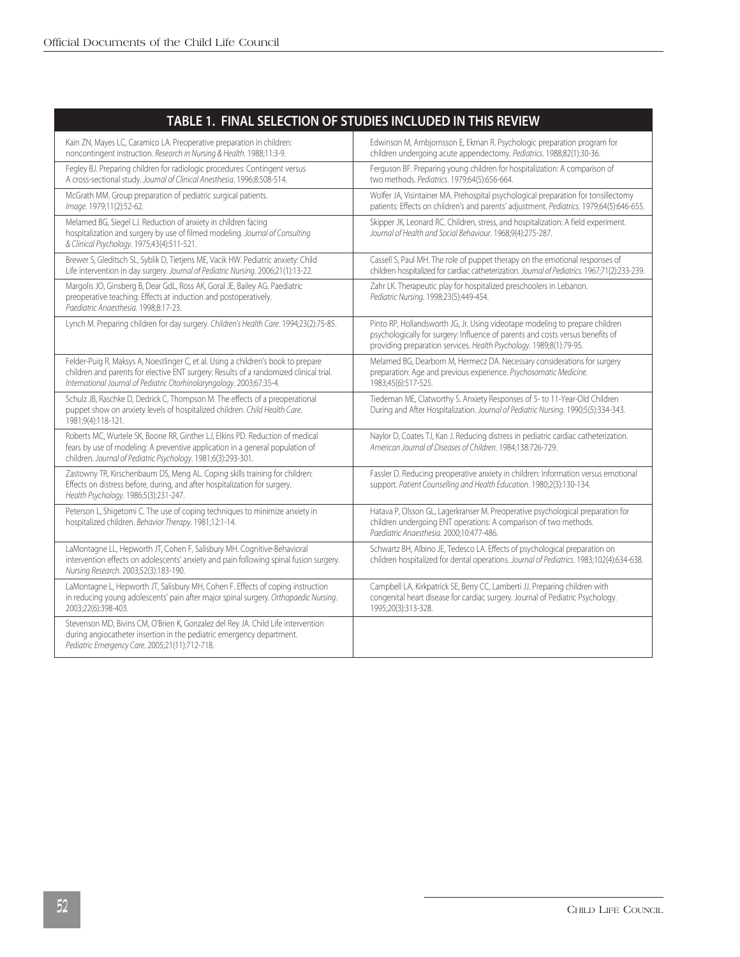| TABLE 1. FINAL SELECTION OF STUDIES INCLUDED IN THIS REVIEW                                                                                                                                                                                                                                               |                                                                                                                                                                                                                                       |  |
|-----------------------------------------------------------------------------------------------------------------------------------------------------------------------------------------------------------------------------------------------------------------------------------------------------------|---------------------------------------------------------------------------------------------------------------------------------------------------------------------------------------------------------------------------------------|--|
| Kain ZN, Mayes LC, Caramico LA. Preoperative preparation in children:<br>noncontingent instruction. Research in Nursing & Health. 1988;11:3-9.                                                                                                                                                            | Edwinson M, Arnbjornsson E, Ekman R. Psychologic preparation program for<br>children undergoing acute appendectomy. Pediatrics. 1988;82(1):30-36.                                                                                     |  |
| Fegley BJ. Preparing children for radiologic procedures: Contingent versus<br>A cross-sectional study. Journal of Clinical Anesthesia. 1996;8:508-514.                                                                                                                                                    | Ferguson BF. Preparing young children for hospitalization: A comparison of<br>two methods. Pediatrics. 1979;64(5):656-664.                                                                                                            |  |
| McGrath MM. Group preparation of pediatric surgical patients.<br>Image. 1979;11(2):52-62.                                                                                                                                                                                                                 | Wolfer JA, Visintainer MA. Prehospital psychological preparation for tonsillectomy<br>patients: Effects on children's and parents' adjustment. Pediatrics. 1979;64(5):646-655.                                                        |  |
| Melamed BG, Siegel LJ. Reduction of anxiety in children facing<br>hospitalization and surgery by use of filmed modeling. Journal of Consulting<br>& Clinical Psychology. 1975;43(4):511-521.                                                                                                              | Skipper JK, Leonard RC. Children, stress, and hospitalization: A field experiment.<br>Journal of Health and Social Behaviour. 1968;9(4):275-287.                                                                                      |  |
| Brewer S, Gleditsch SL, Syblik D, Tietjens ME, Vacik HW. Pediatric anxiety: Child<br>Life intervention in day surgery. Journal of Pediatric Nursing. 2006;21(1):13-22.                                                                                                                                    | Cassell S, Paul MH. The role of puppet therapy on the emotional responses of<br>children hospitalized for cardiac catheterization. Journal of Pediatrics. 1967;71(2):233-239.                                                         |  |
| Margolis JO, Ginsberg B, Dear GdL, Ross AK, Goral JE, Bailey AG. Paediatric<br>Zahr LK. Therapeutic play for hospitalized preschoolers in Lebanon.<br>preoperative teaching: Effects at induction and postoperatively.<br>Pediatric Nursing. 1998;23(5):449-454.<br>Paediatric Anaesthesia. 1998;8:17-23. |                                                                                                                                                                                                                                       |  |
| Lynch M. Preparing children for day surgery. Children's Health Care. 1994;23(2):75-85.                                                                                                                                                                                                                    | Pinto RP, Hollandsworth JG, Jr. Using videotape modeling to prepare children<br>psychologically for surgery: Influence of parents and costs versus benefits of<br>providing preparation services. Health Psychology. 1989;8(1):79-95. |  |
| Felder-Puig R, Maksys A, Noestlinger C, et al. Using a children's book to prepare<br>children and parents for elective ENT surgery: Results of a randomized clinical trial.<br>International Journal of Pediatric Otorhinolaryngology. 2003;67:35-4.                                                      | Melamed BG, Dearborn M, Hermecz DA. Necessary considerations for surgery<br>preparation: Age and previous experience. Psychosomatic Medicine.<br>1983;45(6):517-525.                                                                  |  |
| Schulz JB, Raschke D, Dedrick C, Thompson M. The effects of a preoperational<br>puppet show on anxiety levels of hospitalized children. Child Health Care.<br>1981;9(4):118-121.                                                                                                                          | Tiedeman ME, Clatworthy S. Anxiety Responses of 5- to 11-Year-Old Children<br>During and After Hospitalization. Journal of Pediatric Nursing. 1990;5(5):334-343.                                                                      |  |
| Roberts MC, Wurtele SK, Boone RR, Ginther LJ, Elkins PD. Reduction of medical<br>fears by use of modeling: A preventive application in a general population of<br>children. Journal of Pediatric Psychology. 1981;6(3):293-301.                                                                           | Naylor D, Coates TJ, Kan J. Reducing distress in pediatric cardiac catheterization.<br>American Journal of Diseases of Children. 1984;138:726-729.                                                                                    |  |
| Zastowny TR, Kirschenbaum DS, Meng AL. Coping skills training for children:<br>Effects on distress before, during, and after hospitalization for surgery.<br>Health Psychology. 1986;5(3):231-247.                                                                                                        | Fassler D. Reducing preoperative anxiety in children: Information versus emotional<br>support. Patient Counselling and Health Education. 1980;2(3):130-134.                                                                           |  |
| Peterson L, Shigetomi C. The use of coping techniques to minimize anxiety in<br>hospitalized children. Behavior Therapy. 1981;12:1-14.                                                                                                                                                                    | Hatava P, Olsson GL, Lagerkranser M. Preoperative psychological preparation for<br>children undergoing ENT operations: A comparison of two methods.<br>Paediatric Anaesthesia. 2000;10:477-486.                                       |  |
| LaMontagne LL, Hepworth JT, Cohen F, Salisbury MH. Cognitive-Behavioral<br>intervention effects on adolescents' anxiety and pain following spinal fusion surgery.<br>Nursing Research. 2003;52(3):183-190.                                                                                                | Schwartz BH, Albino JE, Tedesco LA. Effects of psychological preparation on<br>children hospitalized for dental operations. Journal of Pediatrics. 1983;102(4):634-638.                                                               |  |
| LaMontagne L, Hepworth JT, Salisbury MH, Cohen F. Effects of coping instruction<br>in reducing young adolescents' pain after major spinal surgery. Orthopaedic Nursing.<br>2003;22(6):398-403.                                                                                                            | Campbell LA, Kirkpatrick SE, Berry CC, Lamberti JJ. Preparing children with<br>congenital heart disease for cardiac surgery. Journal of Pediatric Psychology.<br>1995;20(3):313-328.                                                  |  |
| Stevenson MD, Bivins CM, O'Brien K, Gonzalez del Rey JA. Child Life intervention<br>during angiocatheter insertion in the pediatric emergency department.<br>Pediatric Emergency Care. 2005;21(11):712-718.                                                                                               |                                                                                                                                                                                                                                       |  |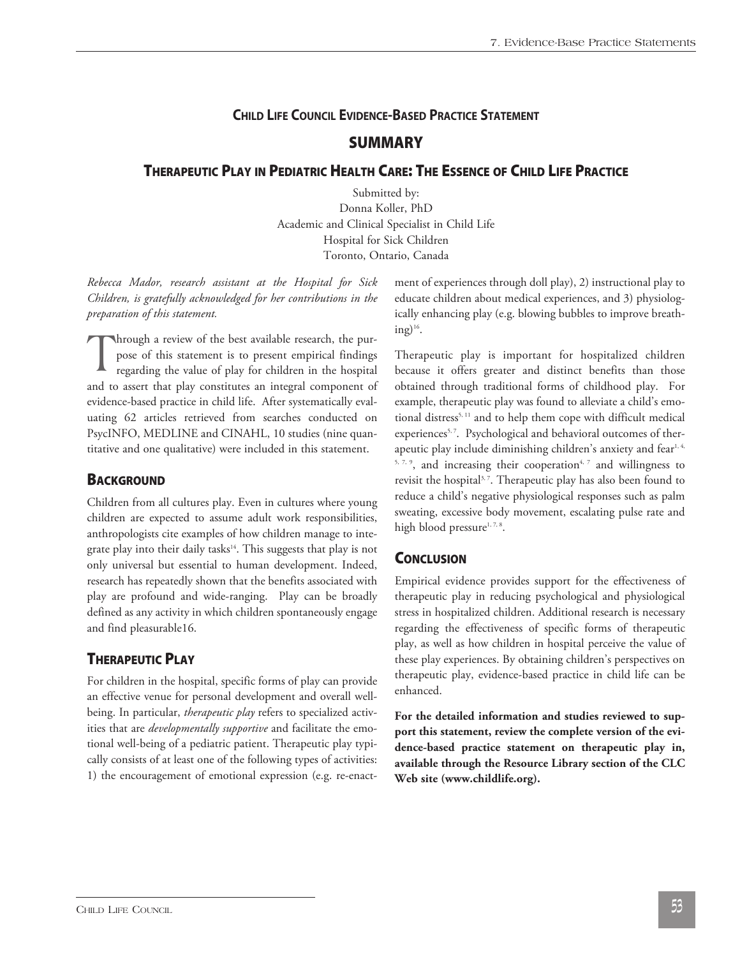### **CHILD LIFE COUNCIL EVIDENCE-BASED PRACTICE STATEMENT**

### **SUMMARY**

### **THERAPEUTIC PLAY IN PEDIATRIC HEALTH CARE: THE ESSENCE OF CHILD LIFE PRACTICE**

Submitted by: Donna Koller, PhD Academic and Clinical Specialist in Child Life Hospital for Sick Children Toronto, Ontario, Canada

*Rebecca Mador, research assistant at the Hospital for Sick Children, is gratefully acknowledged for her contributions in the preparation of this statement.*

Through a review of the best available research, the pur-<br>pose of this statement is to present empirical findings<br>regarding the value of play for children in the hospital pose of this statement is to present empirical findings regarding the value of play for children in the hospital and to assert that play constitutes an integral component of evidence-based practice in child life. After systematically evaluating 62 articles retrieved from searches conducted on PsycINFO, MEDLINE and CINAHL, 10 studies (nine quantitative and one qualitative) were included in this statement.

### **BACKGROUND**

Children from all cultures play. Even in cultures where young children are expected to assume adult work responsibilities, anthropologists cite examples of how children manage to integrate play into their daily tasks 14 . This suggests that play is not only universal but essential to human development. Indeed, research has repeatedly shown that the benefits associated with play are profound and wide-ranging. Play can be broadly defined as any activity in which children spontaneously engage and find pleasurable16.

### **THERAPEUTIC PLAY**

For children in the hospital, specific forms of play can provide an effective venue for personal development and overall wellbeing. In particular, *therapeutic play* refers to specialized activities that are *developmentally supportive* and facilitate the emotional well-being of a pediatric patient. Therapeutic play typically consists of at least one of the following types of activities: 1) the encouragement of emotional expression (e.g. re-enactment of experiences through doll play), 2) instructional play to educate children about medical experiences, and 3) physiologically enhancing play (e.g. blowing bubbles to improve breathing) $^{16}$ .

Therapeutic play is important for hospitalized children because it offers greater and distinct benefits than those obtained through traditional forms of childhood play. For example, therapeutic play was found to alleviate a child's emotional distress 5, <sup>11</sup> and to help them cope with difficult medical experiences<sup>5,7</sup>. Psychological and behavioral outcomes of therapeutic play include diminishing children's anxiety and fear $^{\scriptscriptstyle 1,4,}$  $5, 7, 9$ , and increasing their cooperation<sup>4, 7</sup> and willingness to revisit the hospital<sup>3,7</sup>. Therapeutic play has also been found to reduce a child's negative physiological responses such as palm sweating, excessive body movement, escalating pulse rate and high blood pressure $1, 7, 8$ .

### **CONCLUSION**

Empirical evidence provides support for the effectiveness of therapeutic play in reducing psychological and physiological stress in hospitalized children. Additional research is necessary regarding the effectiveness of specific forms of therapeutic play, as well as how children in hospital perceive the value of these play experiences. By obtaining children's perspectives on therapeutic play, evidence-based practice in child life can be enhanced.

**For the detailed information and studies reviewed to support this statement, review the complete version of the evidence-based practice statement on therapeutic play in, available through the Resource Library section of the CLC Web site (www.childlife.org).**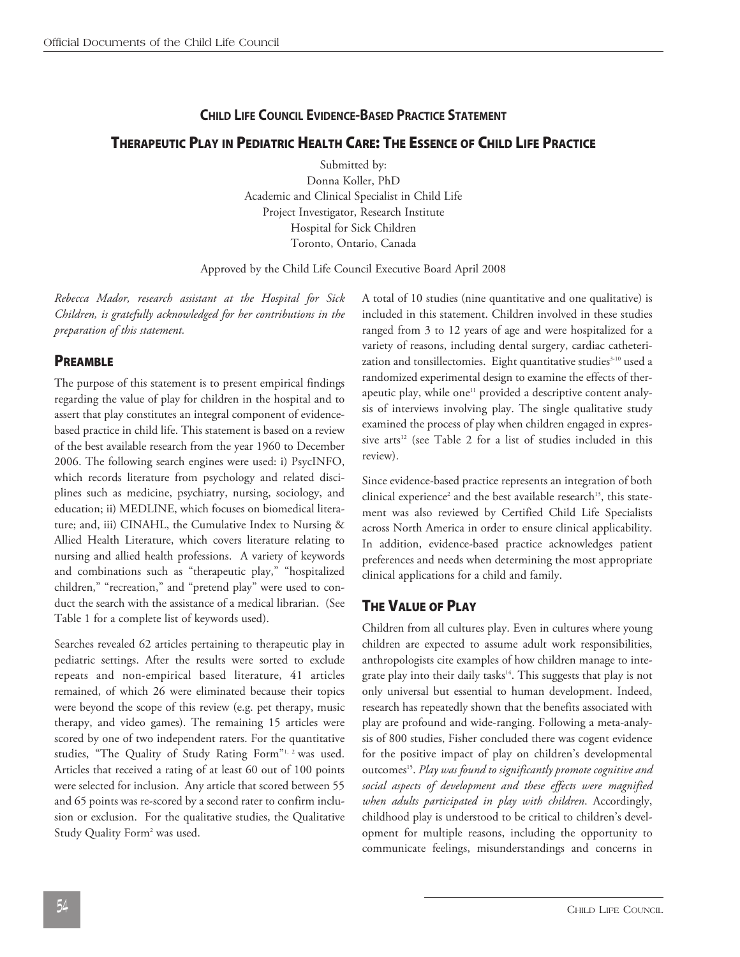### **CHILD LIFE COUNCIL EVIDENCE-BASED PRACTICE STATEMENT**

### **THERAPEUTIC PLAY IN PEDIATRIC HEALTH CARE: THE ESSENCE OF CHILD LIFE PRACTICE**

Submitted by: Donna Koller, PhD Academic and Clinical Specialist in Child Life Project Investigator, Research Institute Hospital for Sick Children Toronto, Ontario, Canada

Approved by the Child Life Council Executive Board April 2008

*Rebecca Mador, research assistant at the Hospital for Sick Children, is gratefully acknowledged for her contributions in the preparation of this statement.*

### **PREAMBLE**

The purpose of this statement is to present empirical findings regarding the value of play for children in the hospital and to assert that play constitutes an integral component of evidencebased practice in child life. This statement is based on a review of the best available research from the year 1960 to December 2006. The following search engines were used: i) PsycINFO, which records literature from psychology and related disciplines such as medicine, psychiatry, nursing, sociology, and education; ii) MEDLINE, which focuses on biomedical literature; and, iii) CINAHL, the Cumulative Index to Nursing & Allied Health Literature, which covers literature relating to nursing and allied health professions. A variety of keywords and combinations such as "therapeutic play," "hospitalized children," "recreation," and "pretend play" were used to conduct the search with the assistance of a medical librarian. (See Table 1 for a complete list of keywords used).

Searches revealed 62 articles pertaining to therapeutic play in pediatric settings. After the results were sorted to exclude repeats and non-empirical based literature, 41 articles remained, of which 26 were eliminated because their topics were beyond the scope of this review (e.g. pet therapy, music therapy, and video games). The remaining 15 articles were scored by one of two independent raters. For the quantitative studies, "The Quality of Study Rating Form"<sup>1, 2</sup> was used. Articles that received a rating of at least 60 out of 100 points were selected for inclusion. Any article that scored between 55 and 65 points was re-scored by a second rater to confirm inclusion or exclusion. For the qualitative studies, the Qualitative Study Quality Form<sup>2</sup> was used.

A total of 10 studies (nine quantitative and one qualitative) is included in this statement. Children involved in these studies ranged from 3 to 12 years of age and were hospitalized for a variety of reasons, including dental surgery, cardiac catheterization and tonsillectomies. Eight quantitative studies 3-10 used a randomized experimental design to examine the effects of therapeutic play, while one<sup>11</sup> provided a descriptive content analysis of interviews involving play. The single qualitative study examined the process of play when children engaged in expressive arts <sup>12</sup> (see Table 2 for a list of studies included in this review).

Since evidence-based practice represents an integration of both clinical experience<sup>2</sup> and the best available research<sup>13</sup>, this statement was also reviewed by Certified Child Life Specialists across North America in order to ensure clinical applicability. In addition, evidence-based practice acknowledges patient preferences and needs when determining the most appropriate clinical applications for a child and family.

### **THE VALUE OF PLAY**

Children from all cultures play. Even in cultures where young children are expected to assume adult work responsibilities, anthropologists cite examples of how children manage to integrate play into their daily tasks 14 . This suggests that play is not only universal but essential to human development. Indeed, research has repeatedly shown that the benefits associated with play are profound and wide-ranging. Following a meta-analysis of 800 studies, Fisher concluded there was cogent evidence for the positive impact of play on children's developmental outcomes 15 . *Play was found to significantly promote cognitive and social aspects of development and these effects were magnified when adults participated in play with children*. Accordingly, childhood play is understood to be critical to children's development for multiple reasons, including the opportunity to communicate feelings, misunderstandings and concerns in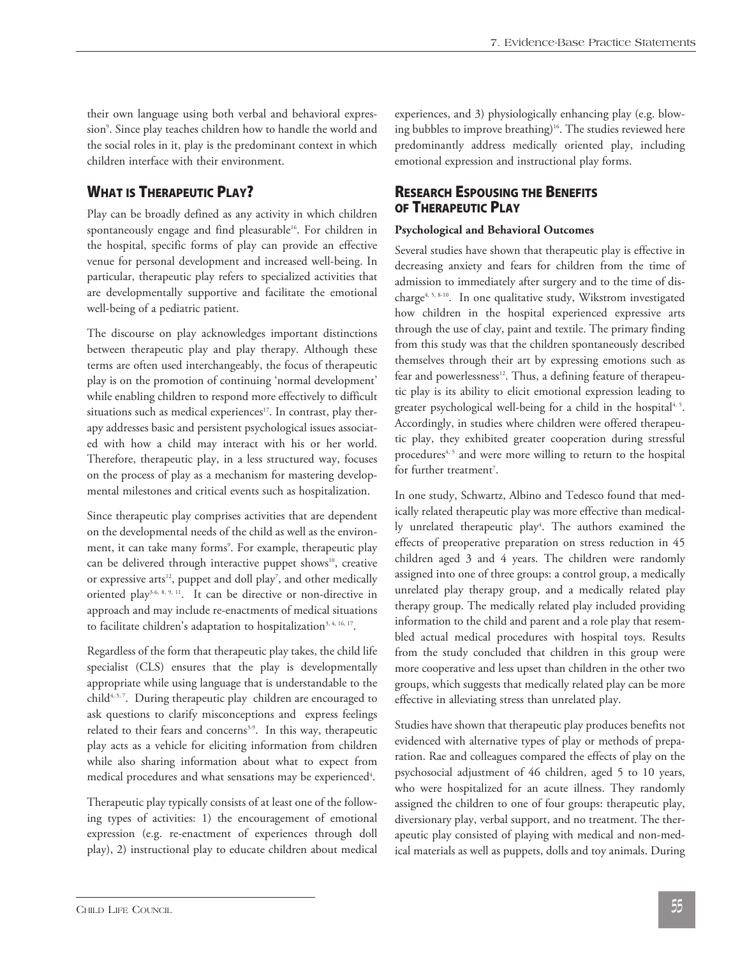their own language using both verbal and behavioral expression9 . Since play teaches children how to handle the world and the social roles in it, play is the predominant context in which children interface with their environment.

### **WHAT IS THERAPEUTIC PLAY?**

Play can be broadly defined as any activity in which children spontaneously engage and find pleasurable<sup>16</sup>. For children in the hospital, specific forms of play can provide an effective venue for personal development and increased well-being. In particular, therapeutic play refers to specialized activities that are developmentally supportive and facilitate the emotional well-being of a pediatric patient.

The discourse on play acknowledges important distinctions between therapeutic play and play therapy. Although these terms are often used interchangeably, the focus of therapeutic play is on the promotion of continuing 'normal development' while enabling children to respond more effectively to difficult situations such as medical experiences<sup>17</sup>. In contrast, play therapy addresses basic and persistent psychological issues associated with how a child may interact with his or her world. Therefore, therapeutic play, in a less structured way, focuses on the process of play as a mechanism for mastering developmental milestones and critical events such as hospitalization.

Since therapeutic play comprises activities that are dependent on the developmental needs of the child as well as the environment, it can take many forms<sup>9</sup>. For example, therapeutic play can be delivered through interactive puppet shows<sup>10</sup>, creative or expressive arts<sup>12</sup>, puppet and doll play<sup>7</sup>, and other medically oriented play3-6, 8, 9, 11. It can be directive or non-directive in approach and may include re-enactments of medical situations to facilitate children's adaptation to hospitalization<sup>3, 4, 16, 17</sup>.

Regardless of the form that therapeutic play takes, the child life specialist (CLS) ensures that the play is developmentally appropriate while using language that is understandable to the child<sup>4, 5, 7</sup>. During therapeutic play children are encouraged to ask questions to clarify misconceptions and express feelings related to their fears and concerns<sup>3.9</sup>. In this way, therapeutic play acts as a vehicle for eliciting information from children while also sharing information about what to expect from medical procedures and what sensations may be experienced<sup>4</sup>.

Therapeutic play typically consists of at least one of the following types of activities: 1) the encouragement of emotional expression (e.g. re-enactment of experiences through doll play), 2) instructional play to educate children about medical experiences, and 3) physiologically enhancing play (e.g. blowing bubbles to improve breathing)<sup>16</sup>. The studies reviewed here predominantly address medically oriented play, including emotional expression and instructional play forms.

### **RESEARCH ESPOUSING THE BENEFITS OF THERAPEUTIC PLAY**

#### **Psychological and Behavioral Outcomes**

Several studies have shown that therapeutic play is effective in decreasing anxiety and fears for children from the time of admission to immediately after surgery and to the time of discharge<sup>4, 5, 8-10</sup>. In one qualitative study, Wikstrom investigated how children in the hospital experienced expressive arts through the use of clay, paint and textile. The primary finding from this study was that the children spontaneously described themselves through their art by expressing emotions such as fear and powerlessness<sup>12</sup>. Thus, a defining feature of therapeutic play is its ability to elicit emotional expression leading to greater psychological well-being for a child in the hospital<sup>4, 5</sup>. Accordingly, in studies where children were offered therapeutic play, they exhibited greater cooperation during stressful procedures<sup>4, 5</sup> and were more willing to return to the hospital for further treatment<sup>7</sup>.

In one study, Schwartz, Albino and Tedesco found that medically related therapeutic play was more effective than medically unrelated therapeutic play<sup>4</sup>. The authors examined the effects of preoperative preparation on stress reduction in 45 children aged 3 and 4 years. The children were randomly assigned into one of three groups: a control group, a medically unrelated play therapy group, and a medically related play therapy group. The medically related play included providing information to the child and parent and a role play that resembled actual medical procedures with hospital toys. Results from the study concluded that children in this group were more cooperative and less upset than children in the other two groups, which suggests that medically related play can be more effective in alleviating stress than unrelated play.

Studies have shown that therapeutic play produces benefits not evidenced with alternative types of play or methods of preparation. Rae and colleagues compared the effects of play on the psychosocial adjustment of 46 children, aged 5 to 10 years, who were hospitalized for an acute illness. They randomly assigned the children to one of four groups: therapeutic play, diversionary play, verbal support, and no treatment. The therapeutic play consisted of playing with medical and non-medical materials as well as puppets, dolls and toy animals. During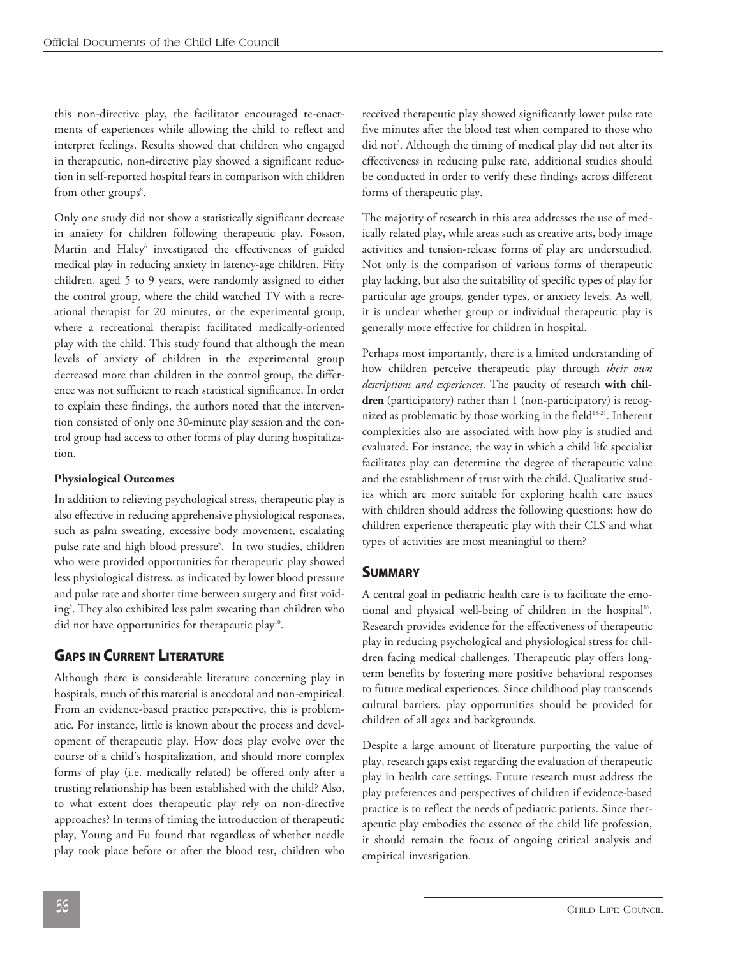this non-directive play, the facilitator encouraged re-enactments of experiences while allowing the child to reflect and interpret feelings. Results showed that children who engaged in therapeutic, non-directive play showed a significant reduction in self-reported hospital fears in comparison with children from other groups<sup>8</sup>.

Only one study did not show a statistically significant decrease in anxiety for children following therapeutic play. Fosson, Martin and Haley<sup>6</sup> investigated the effectiveness of guided medical play in reducing anxiety in latency-age children. Fifty children, aged 5 to 9 years, were randomly assigned to either the control group, where the child watched TV with a recreational therapist for 20 minutes, or the experimental group, where a recreational therapist facilitated medically-oriented play with the child. This study found that although the mean levels of anxiety of children in the experimental group decreased more than children in the control group, the difference was not sufficient to reach statistical significance. In order to explain these findings, the authors noted that the intervention consisted of only one 30-minute play session and the control group had access to other forms of play during hospitalization.

#### **Physiological Outcomes**

In addition to relieving psychological stress, therapeutic play is also effective in reducing apprehensive physiological responses, such as palm sweating, excessive body movement, escalating pulse rate and high blood pressure<sup>5</sup>. In two studies, children who were provided opportunities for therapeutic play showed less physiological distress, as indicated by lower blood pressure and pulse rate and shorter time between surgery and first voiding3 . They also exhibited less palm sweating than children who did not have opportunities for therapeutic play<sup>10</sup>.

### **GAPS IN CURRENT LITERATURE**

Although there is considerable literature concerning play in hospitals, much of this material is anecdotal and non-empirical. From an evidence-based practice perspective, this is problematic. For instance, little is known about the process and development of therapeutic play. How does play evolve over the course of a child's hospitalization, and should more complex forms of play (i.e. medically related) be offered only after a trusting relationship has been established with the child? Also, to what extent does therapeutic play rely on non-directive approaches? In terms of timing the introduction of therapeutic play, Young and Fu found that regardless of whether needle play took place before or after the blood test, children who

received therapeutic play showed significantly lower pulse rate five minutes after the blood test when compared to those who did not 3 . Although the timing of medical play did not alter its effectiveness in reducing pulse rate, additional studies should be conducted in order to verify these findings across different forms of therapeutic play.

The majority of research in this area addresses the use of medically related play, while areas such as creative arts, body image activities and tension-release forms of play are understudied. Not only is the comparison of various forms of therapeutic play lacking, but also the suitability of specific types of play for particular age groups, gender types, or anxiety levels. As well, it is unclear whether group or individual therapeutic play is generally more effective for children in hospital.

Perhaps most importantly, there is a limited understanding of how children perceive therapeutic play through *their own descriptions and experiences*. The paucity of research **with children** (participatory) rather than 1 (non-participatory) is recognized as problematic by those working in the field<sup>18-21</sup>. Inherent complexities also are associated with how play is studied and evaluated. For instance, the way in which a child life specialist facilitates play can determine the degree of therapeutic value and the establishment of trust with the child. Qualitative studies which are more suitable for exploring health care issues with children should address the following questions: how do children experience therapeutic play with their CLS and what types of activities are most meaningful to them?

### **SUMMARY**

A central goal in pediatric health care is to facilitate the emotional and physical well-being of children in the hospital<sup>16</sup>. Research provides evidence for the effectiveness of therapeutic play in reducing psychological and physiological stress for children facing medical challenges. Therapeutic play offers longterm benefits by fostering more positive behavioral responses to future medical experiences. Since childhood play transcends cultural barriers, play opportunities should be provided for children of all ages and backgrounds.

Despite a large amount of literature purporting the value of play, research gaps exist regarding the evaluation of therapeutic play in health care settings. Future research must address the play preferences and perspectives of children if evidence-based practice is to reflect the needs of pediatric patients. Since therapeutic play embodies the essence of the child life profession, it should remain the focus of ongoing critical analysis and empirical investigation.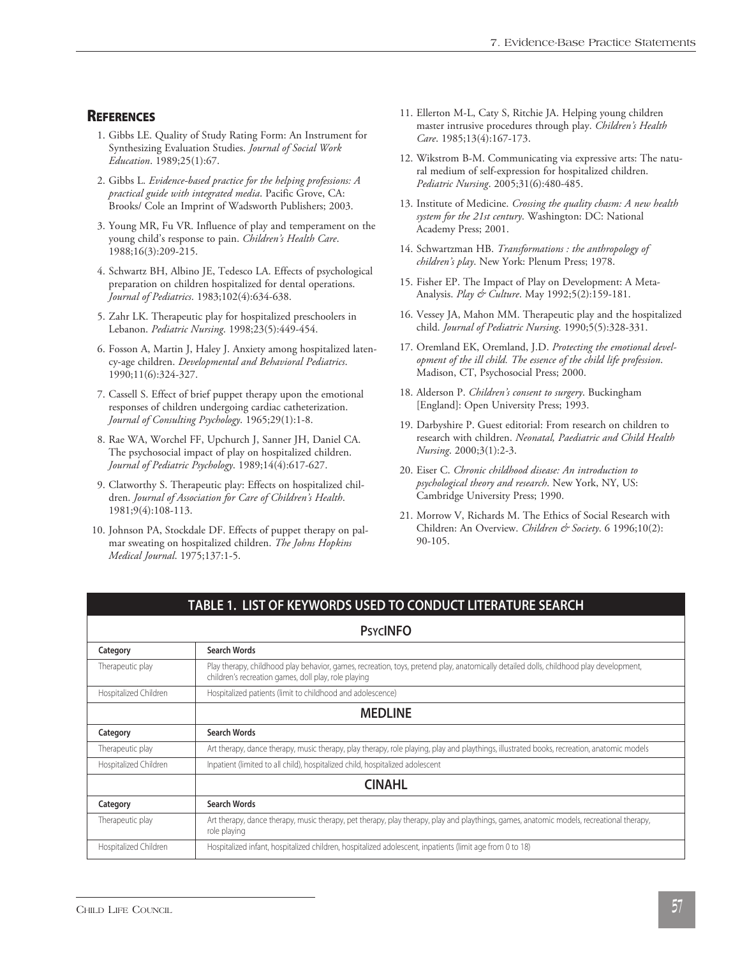### **REFERENCES**

- 1. Gibbs LE. Quality of Study Rating Form: An Instrument for Synthesizing Evaluation Studies. *Journal of Social Work Education*. 1989;25(1):67.
- 2. Gibbs L. *Evidence-based practice for the helping professions: A practical guide with integrated media*. Pacific Grove, CA: Brooks/ Cole an Imprint of Wadsworth Publishers; 2003.
- 3. Young MR, Fu VR. Influence of play and temperament on the young child's response to pain. *Children's Health Care*. 1988;16(3):209-215.
- 4. Schwartz BH, Albino JE, Tedesco LA. Effects of psychological preparation on children hospitalized for dental operations. *Journal of Pediatrics*. 1983;102(4):634-638.
- 5. Zahr LK. Therapeutic play for hospitalized preschoolers in Lebanon. *Pediatric Nursing*. 1998;23(5):449-454.
- 6. Fosson A, Martin J, Haley J. Anxiety among hospitalized latency-age children. *Developmental and Behavioral Pediatrics*. 1990;11(6):324-327.
- 7. Cassell S. Effect of brief puppet therapy upon the emotional responses of children undergoing cardiac catheterization. *Journal of Consulting Psychology*. 1965;29(1):1-8.
- 8. Rae WA, Worchel FF, Upchurch J, Sanner JH, Daniel CA. The psychosocial impact of play on hospitalized children. *Journal of Pediatric Psychology*. 1989;14(4):617-627.
- 9. Clatworthy S. Therapeutic play: Effects on hospitalized children. *Journal of Association for Care of Children's Health*. 1981;9(4):108-113.
- 10. Johnson PA, Stockdale DF. Effects of puppet therapy on palmar sweating on hospitalized children. *The Johns Hopkins Medical Journal*. 1975;137:1-5.
- 11. Ellerton M-L, Caty S, Ritchie JA. Helping young children master intrusive procedures through play. *Children's Health Care*. 1985;13(4):167-173.
- 12. Wikstrom B-M. Communicating via expressive arts: The natural medium of self-expression for hospitalized children. *Pediatric Nursing*. 2005;31(6):480-485.
- 13. Institute of Medicine. *Crossing the quality chasm: A new health system for the 21st century*. Washington: DC: National Academy Press; 2001.
- 14. Schwartzman HB. *Transformations : the anthropology of children's play*. New York: Plenum Press; 1978.
- 15. Fisher EP. The Impact of Play on Development: A Meta-Analysis. *Play & Culture*. May 1992;5(2):159-181.
- 16. Vessey JA, Mahon MM. Therapeutic play and the hospitalized child. *Journal of Pediatric Nursing*. 1990;5(5):328-331.
- 17. Oremland EK, Oremland, J.D. *Protecting the emotional development of the ill child. The essence of the child life profession*. Madison, CT, Psychosocial Press; 2000.
- 18. Alderson P. *Children's consent to surgery*. Buckingham [England]: Open University Press; 1993.
- 19. Darbyshire P. Guest editorial: From research on children to research with children. *Neonatal, Paediatric and Child Health Nursing*. 2000;3(1):2-3.
- 20. Eiser C. *Chronic childhood disease: An introduction to psychological theory and research*. New York, NY, US: Cambridge University Press; 1990.
- 21. Morrow V, Richards M. The Ethics of Social Research with Children: An Overview. *Children & Society*. 6 1996;10(2): 90-105.

#### **TABLE 1. LIST OF KEYWORDS USED TO CONDUCT LITERATURE SEARCH**

#### **PSYCINFO**

| Category              | <b>Search Words</b>                                                                                                                                                                            |
|-----------------------|------------------------------------------------------------------------------------------------------------------------------------------------------------------------------------------------|
| Therapeutic play      | Play therapy, childhood play behavior, games, recreation, toys, pretend play, anatomically detailed dolls, childhood play development,<br>children's recreation games, doll play, role playing |
| Hospitalized Children | Hospitalized patients (limit to childhood and adolescence)                                                                                                                                     |
|                       | <b>MEDLINE</b>                                                                                                                                                                                 |
| Category              | <b>Search Words</b>                                                                                                                                                                            |
| Therapeutic play      | Art therapy, dance therapy, music therapy, play therapy, role playing, play and playthings, illustrated books, recreation, anatomic models                                                     |
| Hospitalized Children | Inpatient (limited to all child), hospitalized child, hospitalized adolescent                                                                                                                  |
|                       | <b>CINAHL</b>                                                                                                                                                                                  |
| Category              | <b>Search Words</b>                                                                                                                                                                            |
| Therapeutic play      | Art therapy, dance therapy, music therapy, pet therapy, play therapy, play and playthings, games, anatomic models, recreational therapy,<br>role playing                                       |
| Hospitalized Children | Hospitalized infant, hospitalized children, hospitalized adolescent, inpatients (limit age from 0 to 18)                                                                                       |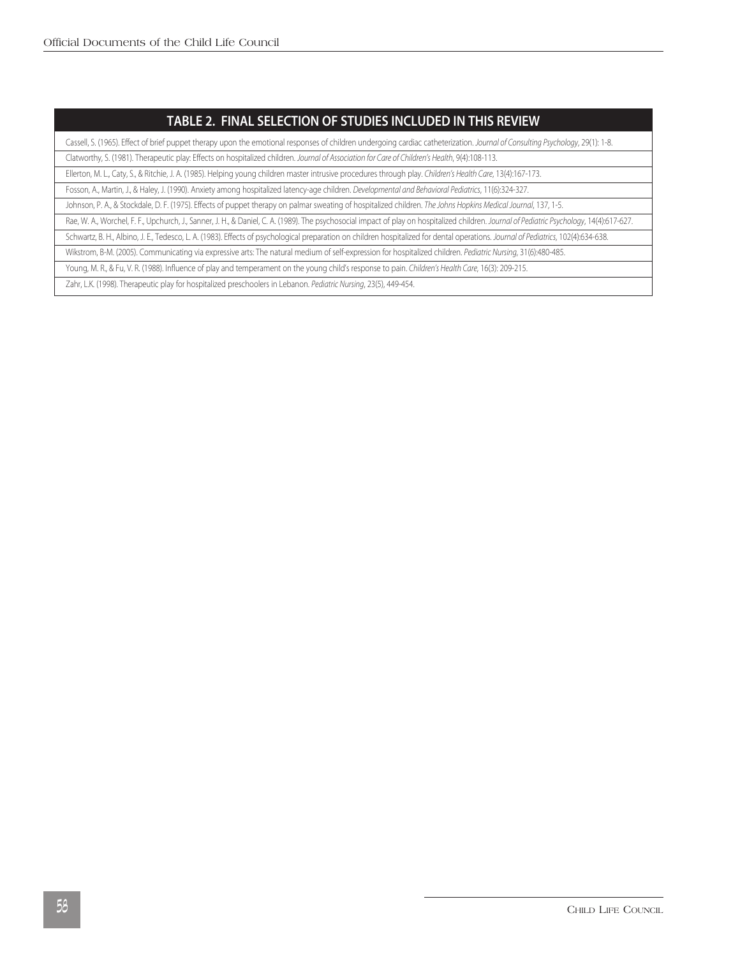### **TABLE 2. FINAL SELECTION OF STUDIES INCLUDED IN THIS REVIEW**

Cassell, S. (1965). Effect of brief puppet therapy upon the emotional responses of children undergoing cardiac catheterization. *Journal of Consulting Psychology*, 29(1): 1-8.

Clatworthy, S. (1981). Therapeutic play: Effects on hospitalized children. *Journal of Association for Care of Children's Health*, 9(4):108-113.

Ellerton, M. L., Caty, S., & Ritchie, J. A. (1985). Helping young children master intrusive procedures through play. *Children's Health Care*, 13(4):167-173.

Fosson, A., Martin, J., & Haley, J. (1990). Anxiety among hospitalized latency-age children. *Developmental and Behavioral Pediatrics*, 11(6):324-327.

Johnson, P. A., & Stockdale, D. F. (1975). Effects of puppet therapy on palmar sweating of hospitalized children. *The Johns Hopkins Medical Journal*, 137, 1-5.

Rae, W. A., Worchel, F. F., Upchurch, J., Sanner, J. H., & Daniel, C. A. (1989). The psychosocial impact of play on hospitalized children. *Journal of Pediatric Psychology*, 14(4):617-627.

Schwartz, B. H., Albino, J. E., Tedesco, L. A. (1983). Effects of psychological preparation on children hospitalized for dental operations. *Journal of Pediatrics*, 102(4):634-638.

Wikstrom, B-M. (2005). Communicating via expressive arts: The natural medium of self-expression for hospitalized children. *Pediatric Nursing*, 31(6):480-485.

Young, M. R., & Fu, V. R. (1988). Influence of play and temperament on the young child's response to pain. *Children's Health Care*, 16(3): 209-215.

Zahr, L.K. (1998). Therapeutic play for hospitalized preschoolers in Lebanon. *Pediatric Nursing*, 23(5), 449-454.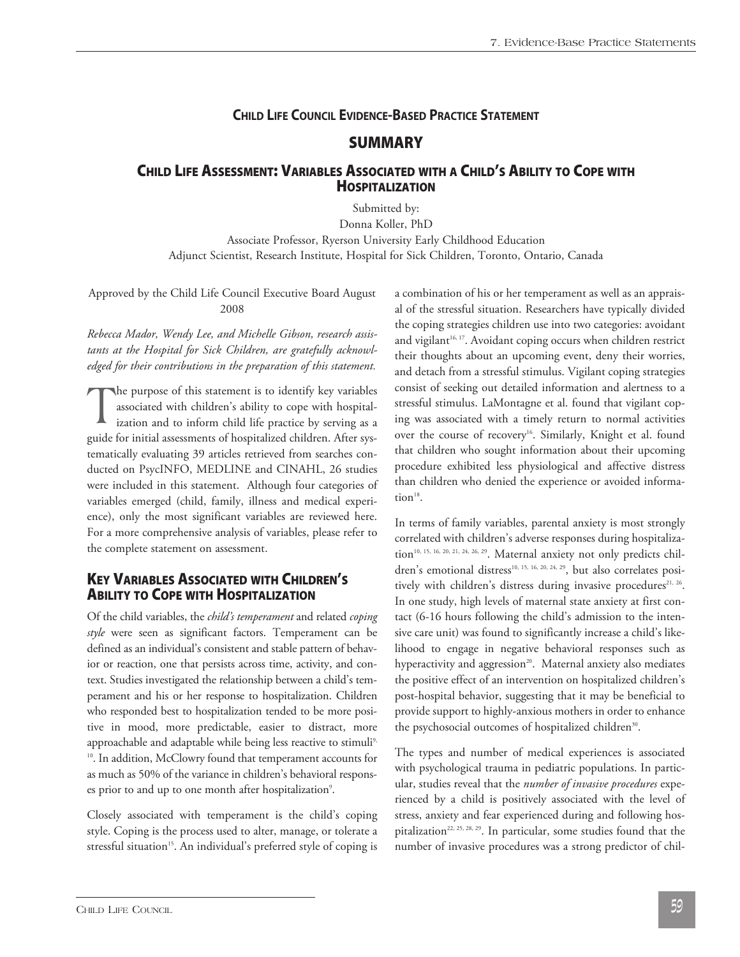### **CHILD LIFE COUNCIL EVIDENCE-BASED PRACTICE STATEMENT**

### **SUMMARY**

### **CHILD LIFE ASSESSMENT: VARIABLES ASSOCIATED WITH A CHILD'S ABILITY TO COPE WITH HOSPITALIZATION**

Submitted by:

Donna Koller, PhD Associate Professor, Ryerson University Early Childhood Education Adjunct Scientist, Research Institute, Hospital for Sick Children, Toronto, Ontario, Canada

Approved by the Child Life Council Executive Board August 2008

*Rebecca Mador, Wendy Lee, and Michelle Gibson, research assistants at the Hospital for Sick Children, are gratefully acknowledged for their contributions in the preparation of this statement.* 

The purpose of this statement is to identify key variables<br>associated with children's ability to cope with hospital-<br>ization and to inform child life practice by serving as a associated with children's ability to cope with hospitalguide for initial assessments of hospitalized children. After systematically evaluating 39 articles retrieved from searches conducted on PsycINFO, MEDLINE and CINAHL, 26 studies were included in this statement. Although four categories of variables emerged (child, family, illness and medical experience), only the most significant variables are reviewed here. For a more comprehensive analysis of variables, please refer to the complete statement on assessment.

### **KEY VARIABLES ASSOCIATED WITH CHILDREN'S ABILITY TO COPE WITH HOSPITALIZATION**

Of the child variables, the *child's temperament* and related *coping style* were seen as significant factors. Temperament can be defined as an individual's consistent and stable pattern of behavior or reaction, one that persists across time, activity, and context. Studies investigated the relationship between a child's temperament and his or her response to hospitalization. Children who responded best to hospitalization tended to be more positive in mood, more predictable, easier to distract, more approachable and adaptable while being less reactive to stimuli<sup>9,</sup> <sup>10</sup>. In addition, McClowry found that temperament accounts for as much as 50% of the variance in children's behavioral responses prior to and up to one month after hospitalization<sup>9</sup>.

Closely associated with temperament is the child's coping style. Coping is the process used to alter, manage, or tolerate a stressful situation<sup>15</sup>. An individual's preferred style of coping is a combination of his or her temperament as well as an appraisal of the stressful situation. Researchers have typically divided the coping strategies children use into two categories: avoidant and vigilant<sup>16, 17</sup>. Avoidant coping occurs when children restrict their thoughts about an upcoming event, deny their worries, and detach from a stressful stimulus. Vigilant coping strategies consist of seeking out detailed information and alertness to a stressful stimulus. LaMontagne et al. found that vigilant coping was associated with a timely return to normal activities over the course of recovery<sup>16</sup>. Similarly, Knight et al. found that children who sought information about their upcoming procedure exhibited less physiological and affective distress than children who denied the experience or avoided informa $tion<sup>18</sup>$ .

In terms of family variables, parental anxiety is most strongly correlated with children's adverse responses during hospitalization<sup>10, 15, 16, 20, 21, 24, 26, 29</sup>. Maternal anxiety not only predicts children's emotional distress<sup>10, 15, 16, 20, 24, 29</sup>, but also correlates positively with children's distress during invasive procedures<sup>21, 26</sup>. In one study, high levels of maternal state anxiety at first contact (6-16 hours following the child's admission to the intensive care unit) was found to significantly increase a child's likelihood to engage in negative behavioral responses such as hyperactivity and aggression<sup>20</sup>. Maternal anxiety also mediates the positive effect of an intervention on hospitalized children's post-hospital behavior, suggesting that it may be beneficial to provide support to highly-anxious mothers in order to enhance the psychosocial outcomes of hospitalized children<sup>30</sup>.

The types and number of medical experiences is associated with psychological trauma in pediatric populations. In particular, studies reveal that the *number of invasive procedures* experienced by a child is positively associated with the level of stress, anxiety and fear experienced during and following hospitalization<sup>22, 25, 28, 29</sup>. In particular, some studies found that the number of invasive procedures was a strong predictor of chil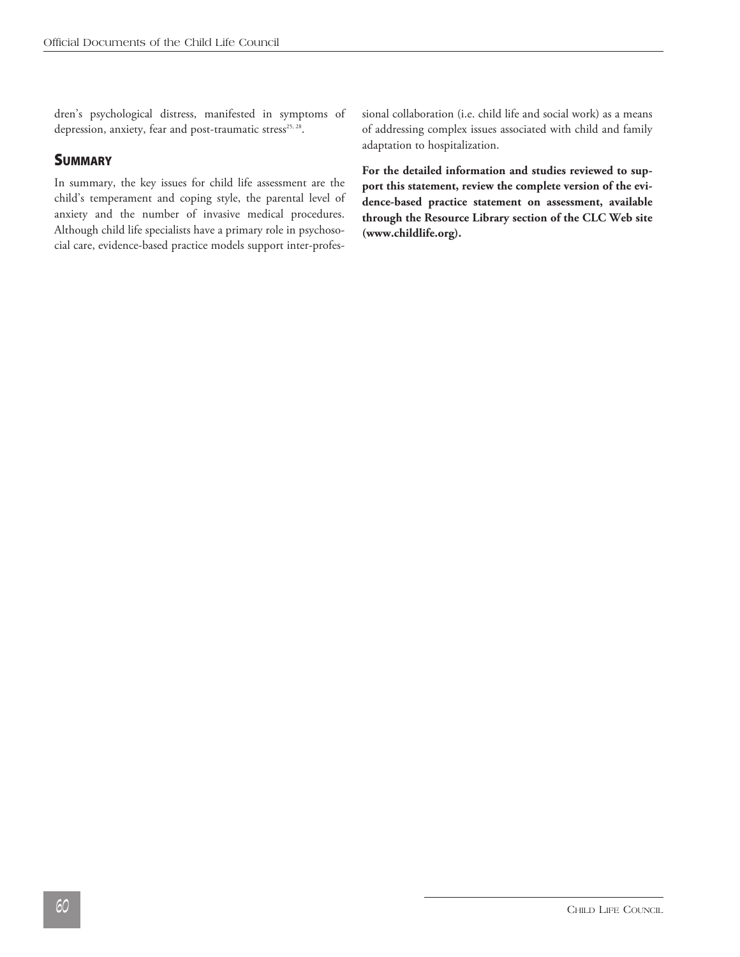dren's psychological distress, manifested in symptoms of depression, anxiety, fear and post-traumatic stress<sup>25, 28</sup>.

### **SUMMARY**

In summary, the key issues for child life assessment are the child's temperament and coping style, the parental level of anxiety and the number of invasive medical procedures. Although child life specialists have a primary role in psychosocial care, evidence-based practice models support inter-professional collaboration (i.e. child life and social work) as a means of addressing complex issues associated with child and family adaptation to hospitalization.

**For the detailed information and studies reviewed to support this statement, review the complete version of the evidence-based practice statement on assessment, available through the Resource Library section of the CLC Web site (www.childlife.org).**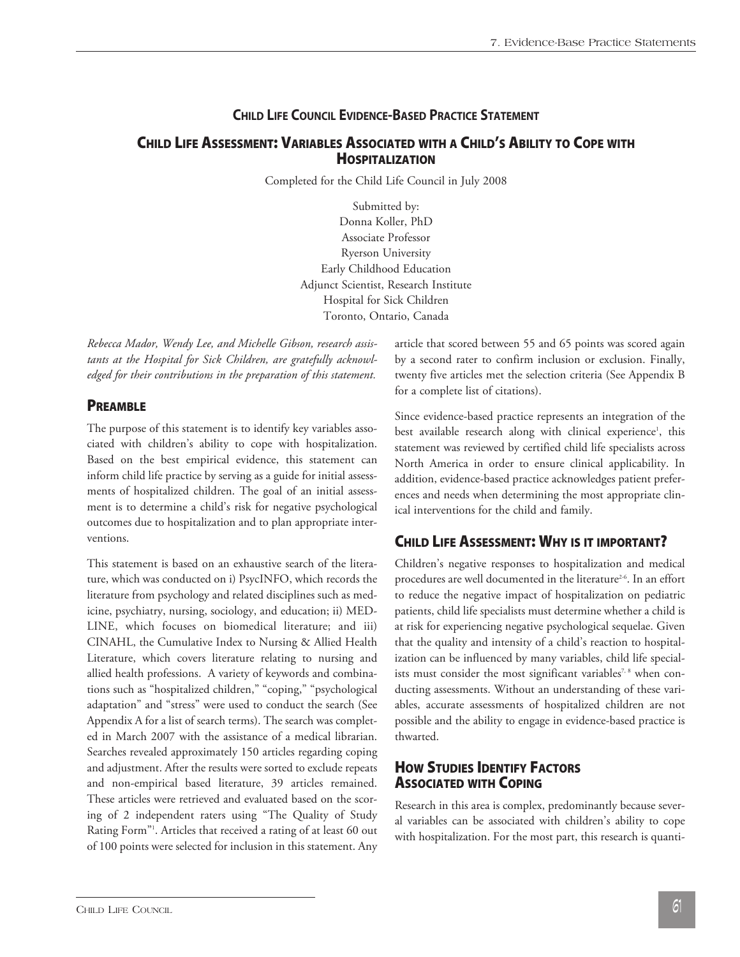### **CHILD LIFE COUNCIL EVIDENCE-BASED PRACTICE STATEMENT**

### **CHILD LIFE ASSESSMENT: VARIABLES ASSOCIATED WITH A CHILD'S ABILITY TO COPE WITH HOSPITALIZATION**

Completed for the Child Life Council in July 2008

Submitted by: Donna Koller, PhD Associate Professor Ryerson University Early Childhood Education Adjunct Scientist, Research Institute Hospital for Sick Children Toronto, Ontario, Canada

*Rebecca Mador, Wendy Lee, and Michelle Gibson, research assistants at the Hospital for Sick Children, are gratefully acknowledged for their contributions in the preparation of this statement.* 

#### **PREAMBLE**

The purpose of this statement is to identify key variables associated with children's ability to cope with hospitalization. Based on the best empirical evidence, this statement can inform child life practice by serving as a guide for initial assessments of hospitalized children. The goal of an initial assessment is to determine a child's risk for negative psychological outcomes due to hospitalization and to plan appropriate interventions.

This statement is based on an exhaustive search of the literature, which was conducted on i) PsycINFO, which records the literature from psychology and related disciplines such as medicine, psychiatry, nursing, sociology, and education; ii) MED-LINE, which focuses on biomedical literature; and iii) CINAHL, the Cumulative Index to Nursing & Allied Health Literature, which covers literature relating to nursing and allied health professions. A variety of keywords and combinations such as "hospitalized children," "coping," "psychological adaptation" and "stress" were used to conduct the search (See Appendix A for a list of search terms). The search was completed in March 2007 with the assistance of a medical librarian. Searches revealed approximately 150 articles regarding coping and adjustment. After the results were sorted to exclude repeats and non-empirical based literature, 39 articles remained. These articles were retrieved and evaluated based on the scoring of 2 independent raters using "The Quality of Study Rating Form"1 . Articles that received a rating of at least 60 out of 100 points were selected for inclusion in this statement. Any article that scored between 55 and 65 points was scored again by a second rater to confirm inclusion or exclusion. Finally, twenty five articles met the selection criteria (See Appendix B for a complete list of citations).

Since evidence-based practice represents an integration of the best available research along with clinical experience<sup>1</sup>, this statement was reviewed by certified child life specialists across North America in order to ensure clinical applicability. In addition, evidence-based practice acknowledges patient preferences and needs when determining the most appropriate clinical interventions for the child and family.

### **CHILD LIFE ASSESSMENT: WHY IS IT IMPORTANT?**

Children's negative responses to hospitalization and medical procedures are well documented in the literature<sup>2-6</sup>. In an effort to reduce the negative impact of hospitalization on pediatric patients, child life specialists must determine whether a child is at risk for experiencing negative psychological sequelae. Given that the quality and intensity of a child's reaction to hospitalization can be influenced by many variables, child life specialists must consider the most significant variables<sup>7, 8</sup> when conducting assessments. Without an understanding of these variables, accurate assessments of hospitalized children are not possible and the ability to engage in evidence-based practice is thwarted.

### **HOW STUDIES IDENTIFY FACTORS ASSOCIATED WITH COPING**

Research in this area is complex, predominantly because several variables can be associated with children's ability to cope with hospitalization. For the most part, this research is quanti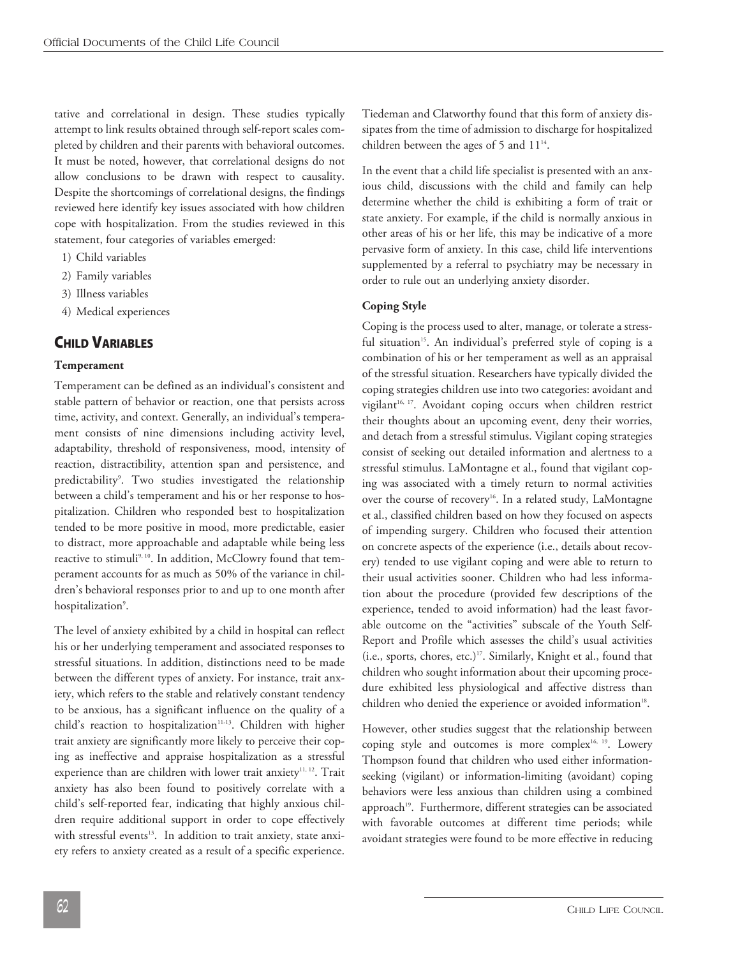tative and correlational in design. These studies typically attempt to link results obtained through self-report scales completed by children and their parents with behavioral outcomes. It must be noted, however, that correlational designs do not allow conclusions to be drawn with respect to causality. Despite the shortcomings of correlational designs, the findings reviewed here identify key issues associated with how children cope with hospitalization. From the studies reviewed in this statement, four categories of variables emerged:

- 1) Child variables
- 2) Family variables
- 3) Illness variables
- 4) Medical experiences

### **CHILD VARIABLES**

#### **Temperament**

Temperament can be defined as an individual's consistent and stable pattern of behavior or reaction, one that persists across time, activity, and context. Generally, an individual's temperament consists of nine dimensions including activity level, adaptability, threshold of responsiveness, mood, intensity of reaction, distractibility, attention span and persistence, and predictability<sup>9</sup>. Two studies investigated the relationship between a child's temperament and his or her response to hospitalization. Children who responded best to hospitalization tended to be more positive in mood, more predictable, easier to distract, more approachable and adaptable while being less reactive to stimuli<sup>9, 10</sup>. In addition, McClowry found that temperament accounts for as much as 50% of the variance in children's behavioral responses prior to and up to one month after hospitalization<sup>9</sup>.

The level of anxiety exhibited by a child in hospital can reflect his or her underlying temperament and associated responses to stressful situations. In addition, distinctions need to be made between the different types of anxiety. For instance, trait anxiety, which refers to the stable and relatively constant tendency to be anxious, has a significant influence on the quality of a child's reaction to hospitalization<sup>11-13</sup>. Children with higher trait anxiety are significantly more likely to perceive their coping as ineffective and appraise hospitalization as a stressful experience than are children with lower trait anxiety $11, 12$ . Trait anxiety has also been found to positively correlate with a child's self-reported fear, indicating that highly anxious children require additional support in order to cope effectively with stressful events<sup>13</sup>. In addition to trait anxiety, state anxiety refers to anxiety created as a result of a specific experience.

Tiedeman and Clatworthy found that this form of anxiety dissipates from the time of admission to discharge for hospitalized children between the ages of 5 and  $11^{14}$ .

In the event that a child life specialist is presented with an anxious child, discussions with the child and family can help determine whether the child is exhibiting a form of trait or state anxiety. For example, if the child is normally anxious in other areas of his or her life, this may be indicative of a more pervasive form of anxiety. In this case, child life interventions supplemented by a referral to psychiatry may be necessary in order to rule out an underlying anxiety disorder.

#### **Coping Style**

Coping is the process used to alter, manage, or tolerate a stressful situation<sup>15</sup>. An individual's preferred style of coping is a combination of his or her temperament as well as an appraisal of the stressful situation. Researchers have typically divided the coping strategies children use into two categories: avoidant and vigilant<sup>16, 17</sup>. Avoidant coping occurs when children restrict their thoughts about an upcoming event, deny their worries, and detach from a stressful stimulus. Vigilant coping strategies consist of seeking out detailed information and alertness to a stressful stimulus. LaMontagne et al., found that vigilant coping was associated with a timely return to normal activities over the course of recovery<sup>16</sup>. In a related study, LaMontagne et al., classified children based on how they focused on aspects of impending surgery. Children who focused their attention on concrete aspects of the experience (i.e., details about recovery) tended to use vigilant coping and were able to return to their usual activities sooner. Children who had less information about the procedure (provided few descriptions of the experience, tended to avoid information) had the least favorable outcome on the "activities" subscale of the Youth Self-Report and Profile which assesses the child's usual activities (i.e., sports, chores, etc.)17. Similarly, Knight et al., found that children who sought information about their upcoming procedure exhibited less physiological and affective distress than children who denied the experience or avoided information<sup>18</sup>.

However, other studies suggest that the relationship between coping style and outcomes is more complex<sup>16, 19</sup>. Lowery Thompson found that children who used either informationseeking (vigilant) or information-limiting (avoidant) coping behaviors were less anxious than children using a combined approach<sup>19</sup>. Furthermore, different strategies can be associated with favorable outcomes at different time periods; while avoidant strategies were found to be more effective in reducing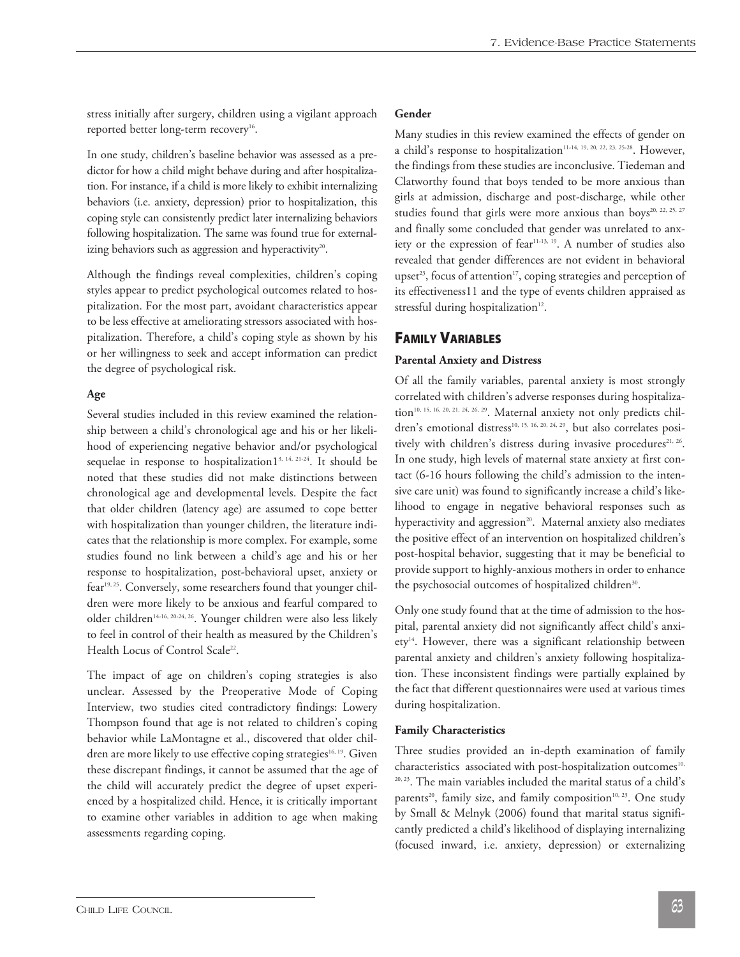stress initially after surgery, children using a vigilant approach reported better long-term recovery<sup>16</sup>.

In one study, children's baseline behavior was assessed as a predictor for how a child might behave during and after hospitalization. For instance, if a child is more likely to exhibit internalizing behaviors (i.e. anxiety, depression) prior to hospitalization, this coping style can consistently predict later internalizing behaviors following hospitalization. The same was found true for externalizing behaviors such as aggression and hyperactivity<sup>20</sup>.

Although the findings reveal complexities, children's coping styles appear to predict psychological outcomes related to hospitalization. For the most part, avoidant characteristics appear to be less effective at ameliorating stressors associated with hospitalization. Therefore, a child's coping style as shown by his or her willingness to seek and accept information can predict the degree of psychological risk.

#### **Age**

Several studies included in this review examined the relationship between a child's chronological age and his or her likelihood of experiencing negative behavior and/or psychological sequelae in response to hospitalization<sup>13, 14, 21-24</sup>. It should be noted that these studies did not make distinctions between chronological age and developmental levels. Despite the fact that older children (latency age) are assumed to cope better with hospitalization than younger children, the literature indicates that the relationship is more complex. For example, some studies found no link between a child's age and his or her response to hospitalization, post-behavioral upset, anxiety or fear<sup>19, 25</sup>. Conversely, some researchers found that younger children were more likely to be anxious and fearful compared to older children<sup>14-16, 20-24, 26</sup>. Younger children were also less likely to feel in control of their health as measured by the Children's Health Locus of Control Scale<sup>22</sup>.

The impact of age on children's coping strategies is also unclear. Assessed by the Preoperative Mode of Coping Interview, two studies cited contradictory findings: Lowery Thompson found that age is not related to children's coping behavior while LaMontagne et al., discovered that older children are more likely to use effective coping strategies<sup>16, 19</sup>. Given these discrepant findings, it cannot be assumed that the age of the child will accurately predict the degree of upset experienced by a hospitalized child. Hence, it is critically important to examine other variables in addition to age when making assessments regarding coping.

#### **Gender**

Many studies in this review examined the effects of gender on a child's response to hospitalization<sup>11-14, 19, 20, 22, 23, 25-28</sup>. However, the findings from these studies are inconclusive. Tiedeman and Clatworthy found that boys tended to be more anxious than girls at admission, discharge and post-discharge, while other studies found that girls were more anxious than boys<sup>20, 22, 25, 27</sup> and finally some concluded that gender was unrelated to anxiety or the expression of fear<sup>11-13, 19</sup>. A number of studies also revealed that gender differences are not evident in behavioral upset<sup>23</sup>, focus of attention<sup>17</sup>, coping strategies and perception of its effectiveness11 and the type of events children appraised as stressful during hospitalization<sup>12</sup>.

### **FAMILY VARIABLES**

#### **Parental Anxiety and Distress**

Of all the family variables, parental anxiety is most strongly correlated with children's adverse responses during hospitalization<sup>10, 15, 16, 20, 21, 24, 26, 29</sup>. Maternal anxiety not only predicts children's emotional distress<sup>10, 15, 16, 20, 24, 29</sup>, but also correlates positively with children's distress during invasive procedures<sup>21, 26</sup>. In one study, high levels of maternal state anxiety at first contact (6-16 hours following the child's admission to the intensive care unit) was found to significantly increase a child's likelihood to engage in negative behavioral responses such as hyperactivity and aggression<sup>20</sup>. Maternal anxiety also mediates the positive effect of an intervention on hospitalized children's post-hospital behavior, suggesting that it may be beneficial to provide support to highly-anxious mothers in order to enhance the psychosocial outcomes of hospitalized children<sup>30</sup>.

Only one study found that at the time of admission to the hospital, parental anxiety did not significantly affect child's anxiety<sup>14</sup>. However, there was a significant relationship between parental anxiety and children's anxiety following hospitalization. These inconsistent findings were partially explained by the fact that different questionnaires were used at various times during hospitalization.

#### **Family Characteristics**

Three studies provided an in-depth examination of family characteristics associated with post-hospitalization outcomes<sup>10,</sup> 20, 23. The main variables included the marital status of a child's parents<sup>20</sup>, family size, and family composition<sup>10, 23</sup>. One study by Small & Melnyk (2006) found that marital status significantly predicted a child's likelihood of displaying internalizing (focused inward, i.e. anxiety, depression) or externalizing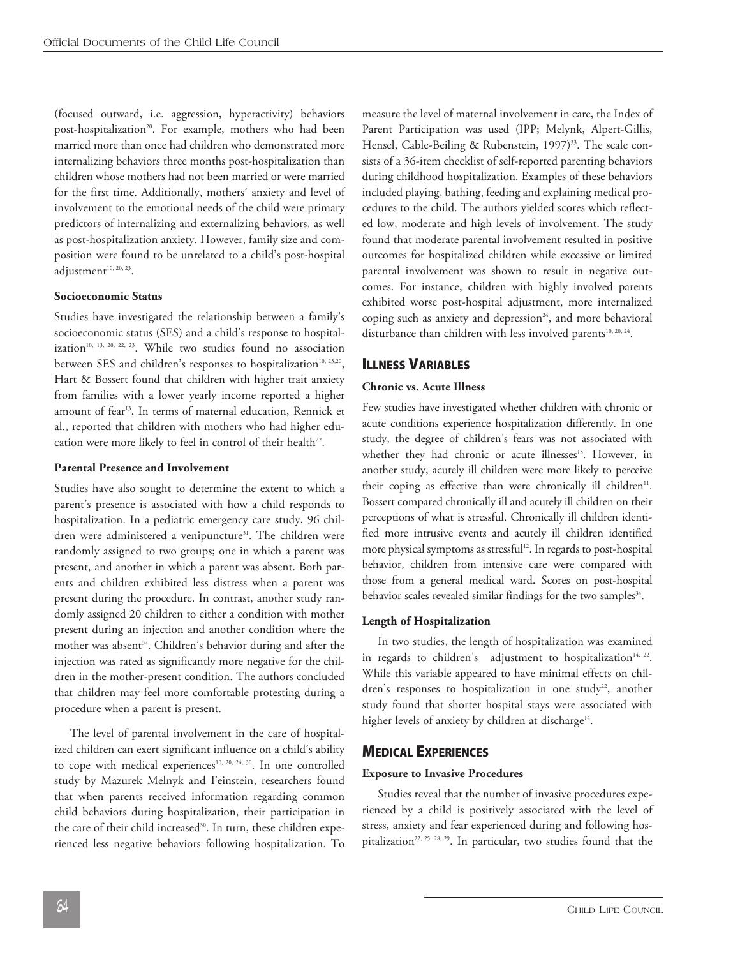(focused outward, i.e. aggression, hyperactivity) behaviors post-hospitalization<sup>20</sup>. For example, mothers who had been married more than once had children who demonstrated more internalizing behaviors three months post-hospitalization than children whose mothers had not been married or were married for the first time. Additionally, mothers' anxiety and level of involvement to the emotional needs of the child were primary predictors of internalizing and externalizing behaviors, as well as post-hospitalization anxiety. However, family size and composition were found to be unrelated to a child's post-hospital adjustment<sup>10, 20, 23</sup>.

#### **Socioeconomic Status**

Studies have investigated the relationship between a family's socioeconomic status (SES) and a child's response to hospitalization<sup>10, 13, 20, 22, 23</sup>. While two studies found no association between SES and children's responses to hospitalization<sup>10, 23,20</sup>, Hart & Bossert found that children with higher trait anxiety from families with a lower yearly income reported a higher amount of fear 13 . In terms of maternal education, Rennick et al., reported that children with mothers who had higher education were more likely to feel in control of their health<sup>22</sup>.

#### **Parental Presence and Involvement**

Studies have also sought to determine the extent to which a parent's presence is associated with how a child responds to hospitalization. In a pediatric emergency care study, 96 children were administered a venipuncture<sup>31</sup>. The children were randomly assigned to two groups; one in which a parent was present, and another in which a parent was absent. Both parents and children exhibited less distress when a parent was present during the procedure. In contrast, another study randomly assigned 20 children to either a condition with mother present during an injection and another condition where the mother was absent 32 . Children's behavior during and after the injection was rated as significantly more negative for the children in the mother-present condition. The authors concluded that children may feel more comfortable protesting during a procedure when a parent is present.

 The level of parental involvement in the care of hospitalized children can exert significant influence on a child's ability to cope with medical experiences<sup>10, 20, 24, 30</sup>. In one controlled study by Mazurek Melnyk and Feinstein, researchers found that when parents received information regarding common child behaviors during hospitalization, their participation in the care of their child increased<sup>30</sup>. In turn, these children experienced less negative behaviors following hospitalization. To

measure the level of maternal involvement in care, the Index of Parent Participation was used (IPP; Melynk, Alpert-Gillis, Hensel, Cable-Beiling & Rubenstein, 1997) 33 . The scale consists of a 36-item checklist of self-reported parenting behaviors during childhood hospitalization. Examples of these behaviors included playing, bathing, feeding and explaining medical procedures to the child. The authors yielded scores which reflected low, moderate and high levels of involvement. The study found that moderate parental involvement resulted in positive outcomes for hospitalized children while excessive or limited parental involvement was shown to result in negative outcomes. For instance, children with highly involved parents exhibited worse post-hospital adjustment, more internalized coping such as anxiety and depression $24$ , and more behavioral disturbance than children with less involved parents<sup>10, 20, 24</sup>.

### **ILLNESS VARIABLES**

#### **Chronic vs. Acute Illness**

Few studies have investigated whether children with chronic or acute conditions experience hospitalization differently. In one study, the degree of children's fears was not associated with whether they had chronic or acute illnesses 13 . However, in another study, acutely ill children were more likely to perceive their coping as effective than were chronically ill children<sup>11</sup>. Bossert compared chronically ill and acutely ill children on their perceptions of what is stressful. Chronically ill children identified more intrusive events and acutely ill children identified more physical symptoms as stressful 12 . In regards to post-hospital behavior, children from intensive care were compared with those from a general medical ward. Scores on post-hospital behavior scales revealed similar findings for the two samples<sup>34</sup>.

#### **Length of Hospitalization**

 In two studies, the length of hospitalization was examined in regards to children's adjustment to hospitalization $14, 22$ . While this variable appeared to have minimal effects on children's responses to hospitalization in one study<sup>22</sup>, another study found that shorter hospital stays were associated with higher levels of anxiety by children at discharge $^{\scriptscriptstyle 14}$ .

#### **MEDICAL EXPERIENCES**

#### **Exposure to Invasive Procedures**

 Studies reveal that the number of invasive procedures experienced by a child is positively associated with the level of stress, anxiety and fear experienced during and following hospitalization<sup>22, 25, 28, 29</sup>. In particular, two studies found that the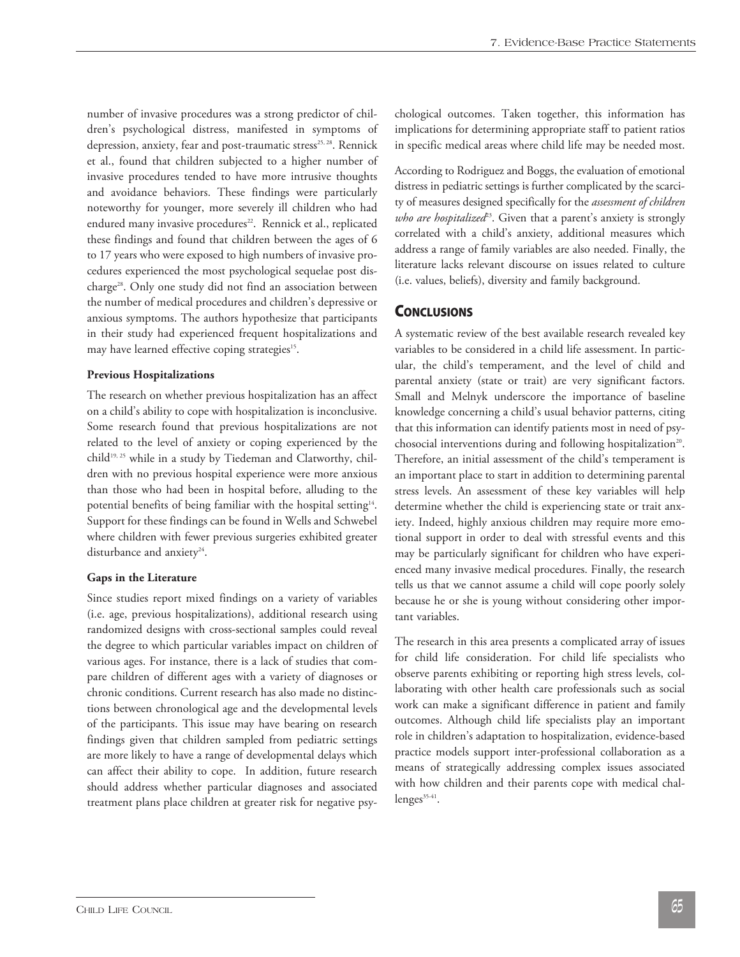number of invasive procedures was a strong predictor of children's psychological distress, manifested in symptoms of depression, anxiety, fear and post-traumatic stress<sup>25, 28</sup>. Rennick et al., found that children subjected to a higher number of invasive procedures tended to have more intrusive thoughts and avoidance behaviors. These findings were particularly noteworthy for younger, more severely ill children who had endured many invasive procedures<sup>22</sup>. Rennick et al., replicated these findings and found that children between the ages of 6 to 17 years who were exposed to high numbers of invasive procedures experienced the most psychological sequelae post discharge<sup>28</sup>. Only one study did not find an association between the number of medical procedures and children's depressive or anxious symptoms. The authors hypothesize that participants in their study had experienced frequent hospitalizations and may have learned effective coping strategies<sup>15</sup>.

#### **Previous Hospitalizations**

The research on whether previous hospitalization has an affect on a child's ability to cope with hospitalization is inconclusive. Some research found that previous hospitalizations are not related to the level of anxiety or coping experienced by the child<sup>19, 25</sup> while in a study by Tiedeman and Clatworthy, children with no previous hospital experience were more anxious than those who had been in hospital before, alluding to the potential benefits of being familiar with the hospital setting<sup>14</sup>. Support for these findings can be found in Wells and Schwebel where children with fewer previous surgeries exhibited greater disturbance and anxiety<sup>24</sup>.

#### **Gaps in the Literature**

Since studies report mixed findings on a variety of variables (i.e. age, previous hospitalizations), additional research using randomized designs with cross-sectional samples could reveal the degree to which particular variables impact on children of various ages. For instance, there is a lack of studies that compare children of different ages with a variety of diagnoses or chronic conditions. Current research has also made no distinctions between chronological age and the developmental levels of the participants. This issue may have bearing on research findings given that children sampled from pediatric settings are more likely to have a range of developmental delays which can affect their ability to cope. In addition, future research should address whether particular diagnoses and associated treatment plans place children at greater risk for negative psychological outcomes. Taken together, this information has implications for determining appropriate staff to patient ratios in specific medical areas where child life may be needed most.

According to Rodriguez and Boggs, the evaluation of emotional distress in pediatric settings is further complicated by the scarcity of measures designed specifically for the *assessment of children who are hospitalized<sup>23</sup>*. Given that a parent's anxiety is strongly correlated with a child's anxiety, additional measures which address a range of family variables are also needed. Finally, the literature lacks relevant discourse on issues related to culture (i.e. values, beliefs), diversity and family background.

### **CONCLUSIONS**

A systematic review of the best available research revealed key variables to be considered in a child life assessment. In particular, the child's temperament, and the level of child and parental anxiety (state or trait) are very significant factors. Small and Melnyk underscore the importance of baseline knowledge concerning a child's usual behavior patterns, citing that this information can identify patients most in need of psychosocial interventions during and following hospitalization<sup>20</sup>. Therefore, an initial assessment of the child's temperament is an important place to start in addition to determining parental stress levels. An assessment of these key variables will help determine whether the child is experiencing state or trait anxiety. Indeed, highly anxious children may require more emotional support in order to deal with stressful events and this may be particularly significant for children who have experienced many invasive medical procedures. Finally, the research tells us that we cannot assume a child will cope poorly solely because he or she is young without considering other important variables.

The research in this area presents a complicated array of issues for child life consideration. For child life specialists who observe parents exhibiting or reporting high stress levels, collaborating with other health care professionals such as social work can make a significant difference in patient and family outcomes. Although child life specialists play an important role in children's adaptation to hospitalization, evidence-based practice models support inter-professional collaboration as a means of strategically addressing complex issues associated with how children and their parents cope with medical challenges<sup>35-41</sup>.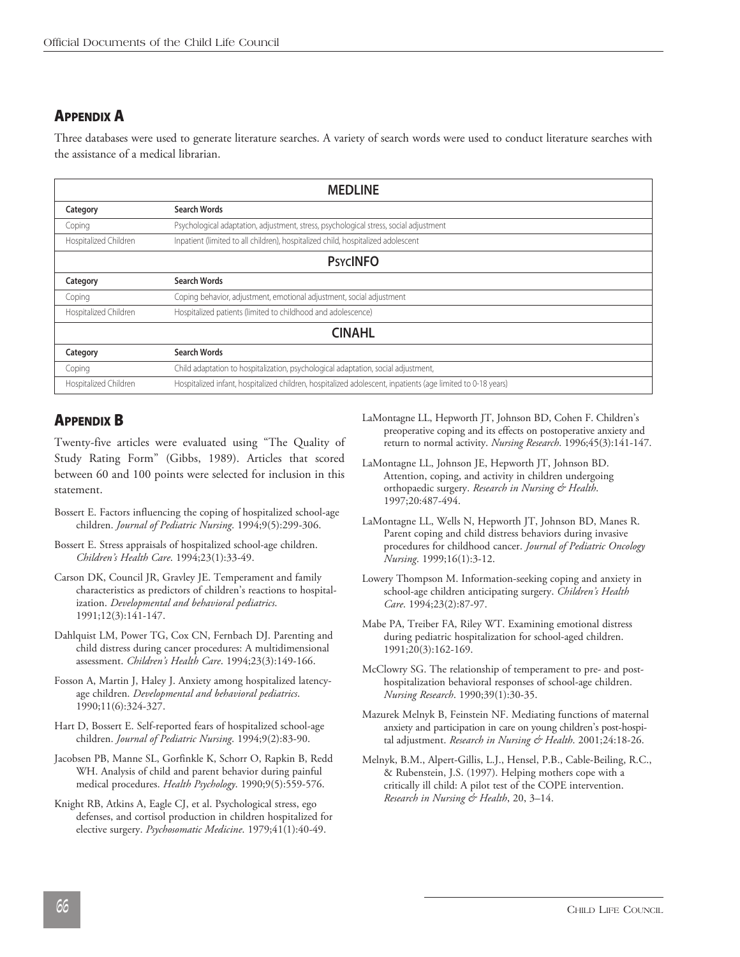## **APPENDIX A**

Three databases were used to generate literature searches. A variety of search words were used to conduct literature searches with the assistance of a medical librarian.

| <b>MEDLINE</b>        |                                                                                                             |
|-----------------------|-------------------------------------------------------------------------------------------------------------|
| Category              | <b>Search Words</b>                                                                                         |
| Coping                | Psychological adaptation, adjustment, stress, psychological stress, social adjustment                       |
| Hospitalized Children | Inpatient (limited to all children), hospitalized child, hospitalized adolescent                            |
| <b>PSYCINFO</b>       |                                                                                                             |
| Category              | <b>Search Words</b>                                                                                         |
| Coping                | Coping behavior, adjustment, emotional adjustment, social adjustment                                        |
| Hospitalized Children | Hospitalized patients (limited to childhood and adolescence)                                                |
| <b>CINAHL</b>         |                                                                                                             |
| Category              | <b>Search Words</b>                                                                                         |
| Coping                | Child adaptation to hospitalization, psychological adaptation, social adjustment,                           |
| Hospitalized Children | Hospitalized infant, hospitalized children, hospitalized adolescent, inpatients (age limited to 0-18 years) |

## **APPENDIX B**

Twenty-five articles were evaluated using "The Quality of Study Rating Form" (Gibbs, 1989). Articles that scored between 60 and 100 points were selected for inclusion in this statement.

- Bossert E. Factors influencing the coping of hospitalized school-age children. *Journal of Pediatric Nursing*. 1994;9(5):299-306.
- Bossert E. Stress appraisals of hospitalized school-age children. *Children's Health Care*. 1994;23(1):33-49.
- Carson DK, Council JR, Gravley JE. Temperament and family characteristics as predictors of children's reactions to hospitalization. *Developmental and behavioral pediatrics*. 1991;12(3):141-147.
- Dahlquist LM, Power TG, Cox CN, Fernbach DJ. Parenting and child distress during cancer procedures: A multidimensional assessment. *Children's Health Care*. 1994;23(3):149-166.
- Fosson A, Martin J, Haley J. Anxiety among hospitalized latencyage children. *Developmental and behavioral pediatrics*. 1990;11(6):324-327.
- Hart D, Bossert E. Self-reported fears of hospitalized school-age children. *Journal of Pediatric Nursing*. 1994;9(2):83-90.
- Jacobsen PB, Manne SL, Gorfinkle K, Schorr O, Rapkin B, Redd WH. Analysis of child and parent behavior during painful medical procedures. *Health Psychology*. 1990;9(5):559-576.
- Knight RB, Atkins A, Eagle CJ, et al. Psychological stress, ego defenses, and cortisol production in children hospitalized for elective surgery. *Psychosomatic Medicine*. 1979;41(1):40-49.
- LaMontagne LL, Hepworth JT, Johnson BD, Cohen F. Children's preoperative coping and its effects on postoperative anxiety and return to normal activity. *Nursing Research*. 1996;45(3):141-147.
- LaMontagne LL, Johnson JE, Hepworth JT, Johnson BD. Attention, coping, and activity in children undergoing orthopaedic surgery. *Research in Nursing & Health*. 1997;20:487-494.
- LaMontagne LL, Wells N, Hepworth JT, Johnson BD, Manes R. Parent coping and child distress behaviors during invasive procedures for childhood cancer. *Journal of Pediatric Oncology Nursing*. 1999;16(1):3-12.
- Lowery Thompson M. Information-seeking coping and anxiety in school-age children anticipating surgery. *Children's Health Care*. 1994;23(2):87-97.
- Mabe PA, Treiber FA, Riley WT. Examining emotional distress during pediatric hospitalization for school-aged children. 1991;20(3):162-169.
- McClowry SG. The relationship of temperament to pre- and posthospitalization behavioral responses of school-age children. *Nursing Research*. 1990;39(1):30-35.
- Mazurek Melnyk B, Feinstein NF. Mediating functions of maternal anxiety and participation in care on young children's post-hospital adjustment. *Research in Nursing & Health*. 2001;24:18-26.
- Melnyk, B.M., Alpert-Gillis, L.J., Hensel, P.B., Cable-Beiling, R.C., & Rubenstein, J.S. (1997). Helping mothers cope with a critically ill child: A pilot test of the COPE intervention. *Research in Nursing & Health*, 20, 3–14.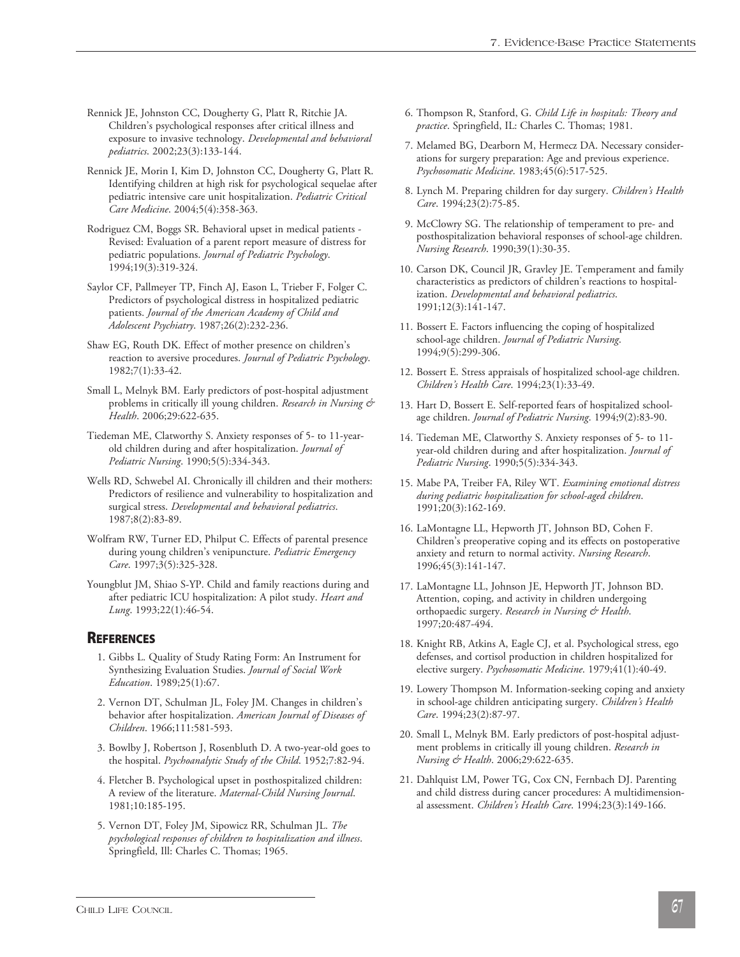- Rennick JE, Johnston CC, Dougherty G, Platt R, Ritchie JA. Children's psychological responses after critical illness and exposure to invasive technology. *Developmental and behavioral pediatrics*. 2002;23(3):133-144.
- Rennick JE, Morin I, Kim D, Johnston CC, Dougherty G, Platt R. Identifying children at high risk for psychological sequelae after pediatric intensive care unit hospitalization. *Pediatric Critical Care Medicine*. 2004;5(4):358-363.
- Rodriguez CM, Boggs SR. Behavioral upset in medical patients Revised: Evaluation of a parent report measure of distress for pediatric populations. *Journal of Pediatric Psychology*. 1994;19(3):319-324.
- Saylor CF, Pallmeyer TP, Finch AJ, Eason L, Trieber F, Folger C. Predictors of psychological distress in hospitalized pediatric patients. *Journal of the American Academy of Child and Adolescent Psychiatry*. 1987;26(2):232-236.
- Shaw EG, Routh DK. Effect of mother presence on children's reaction to aversive procedures. *Journal of Pediatric Psychology*. 1982;7(1):33-42.
- Small L, Melnyk BM. Early predictors of post-hospital adjustment problems in critically ill young children. *Research in Nursing & Health*. 2006;29:622-635.
- Tiedeman ME, Clatworthy S. Anxiety responses of 5- to 11-yearold children during and after hospitalization. *Journal of Pediatric Nursing*. 1990;5(5):334-343.
- Wells RD, Schwebel AI. Chronically ill children and their mothers: Predictors of resilience and vulnerability to hospitalization and surgical stress. *Developmental and behavioral pediatrics*. 1987;8(2):83-89.
- Wolfram RW, Turner ED, Philput C. Effects of parental presence during young children's venipuncture. *Pediatric Emergency Care*. 1997;3(5):325-328.
- Youngblut JM, Shiao S-YP. Child and family reactions during and after pediatric ICU hospitalization: A pilot study. *Heart and Lung*. 1993;22(1):46-54.

### **REFERENCES**

- 1. Gibbs L. Quality of Study Rating Form: An Instrument for Synthesizing Evaluation Studies. *Journal of Social Work Education*. 1989;25(1):67.
- 2. Vernon DT, Schulman JL, Foley JM. Changes in children's behavior after hospitalization. *American Journal of Diseases of Children*. 1966;111:581-593.
- 3. Bowlby J, Robertson J, Rosenbluth D. A two-year-old goes to the hospital. *Psychoanalytic Study of the Child*. 1952;7:82-94.
- 4. Fletcher B. Psychological upset in posthospitalized children: A review of the literature. *Maternal-Child Nursing Journal*. 1981;10:185-195.
- 5. Vernon DT, Foley JM, Sipowicz RR, Schulman JL. *The psychological responses of children to hospitalization and illness*. Springfield, Ill: Charles C. Thomas; 1965.
- 6. Thompson R, Stanford, G. *Child Life in hospitals: Theory and practice*. Springfield, IL: Charles C. Thomas; 1981.
- 7. Melamed BG, Dearborn M, Hermecz DA. Necessary considerations for surgery preparation: Age and previous experience. *Psychosomatic Medicine*. 1983;45(6):517-525.
- 8. Lynch M. Preparing children for day surgery. *Children's Health Care*. 1994;23(2):75-85.
- 9. McClowry SG. The relationship of temperament to pre- and posthospitalization behavioral responses of school-age children. *Nursing Research*. 1990;39(1):30-35.
- 10. Carson DK, Council JR, Gravley JE. Temperament and family characteristics as predictors of children's reactions to hospitalization. *Developmental and behavioral pediatrics*. 1991;12(3):141-147.
- 11. Bossert E. Factors influencing the coping of hospitalized school-age children. *Journal of Pediatric Nursing*. 1994;9(5):299-306.
- 12. Bossert E. Stress appraisals of hospitalized school-age children. *Children's Health Care*. 1994;23(1):33-49.
- 13. Hart D, Bossert E. Self-reported fears of hospitalized schoolage children. *Journal of Pediatric Nursing*. 1994;9(2):83-90.
- 14. Tiedeman ME, Clatworthy S. Anxiety responses of 5- to 11 year-old children during and after hospitalization. *Journal of Pediatric Nursing*. 1990;5(5):334-343.
- 15. Mabe PA, Treiber FA, Riley WT. *Examining emotional distress during pediatric hospitalization for school-aged children*. 1991;20(3):162-169.
- 16. LaMontagne LL, Hepworth JT, Johnson BD, Cohen F. Children's preoperative coping and its effects on postoperative anxiety and return to normal activity. *Nursing Research*. 1996;45(3):141-147.
- 17. LaMontagne LL, Johnson JE, Hepworth JT, Johnson BD. Attention, coping, and activity in children undergoing orthopaedic surgery. *Research in Nursing & Health*. 1997;20:487-494.
- 18. Knight RB, Atkins A, Eagle CJ, et al. Psychological stress, ego defenses, and cortisol production in children hospitalized for elective surgery. *Psychosomatic Medicine*. 1979;41(1):40-49.
- 19. Lowery Thompson M. Information-seeking coping and anxiety in school-age children anticipating surgery. *Children's Health Care*. 1994;23(2):87-97.
- 20. Small L, Melnyk BM. Early predictors of post-hospital adjustment problems in critically ill young children. *Research in Nursing & Health*. 2006;29:622-635.
- 21. Dahlquist LM, Power TG, Cox CN, Fernbach DJ. Parenting and child distress during cancer procedures: A multidimensional assessment. *Children's Health Care*. 1994;23(3):149-166.